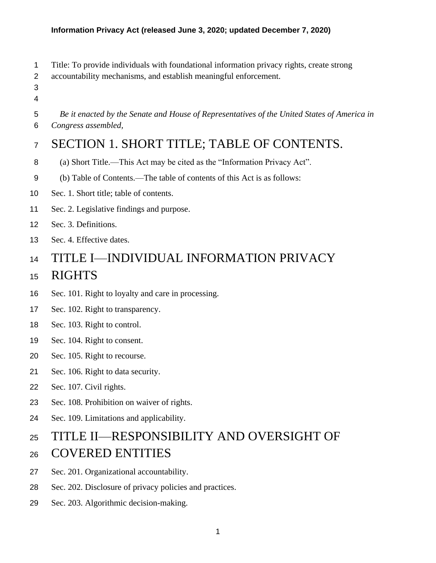- Title: To provide individuals with foundational information privacy rights, create strong
- accountability mechanisms, and establish meaningful enforcement.
- 
- *Be it enacted by the Senate and House of Representatives of the United States of America in Congress assembled,*

# SECTION 1. SHORT TITLE; TABLE OF CONTENTS.

- (a) Short Title.—This Act may be cited as the "Information Privacy Act".
- (b) Table of Contents.—The table of contents of this Act is as follows:
- Sec. 1. Short title; table of contents.
- Sec. 2. Legislative findings and purpose.
- Sec. 3. Definitions.
- Sec. 4. Effective dates.

# TITLE I—INDIVIDUAL INFORMATION PRIVACY

### RIGHTS

- Sec. 101. Right to loyalty and care in processing.
- Sec. 102. Right to transparency.
- Sec. 103. Right to control.
- Sec. 104. Right to consent.
- Sec. 105. Right to recourse.
- Sec. 106. Right to data security.
- Sec. 107. Civil rights.
- Sec. 108. Prohibition on waiver of rights.
- Sec. 109. Limitations and applicability.

# TITLE II—RESPONSIBILITY AND OVERSIGHT OF COVERED ENTITIES

- Sec. 201. Organizational accountability.
- Sec. 202. Disclosure of privacy policies and practices.
- Sec. 203. Algorithmic decision-making.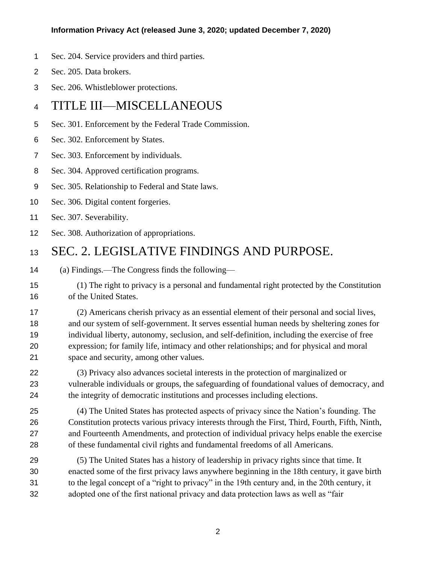- Sec. 204. Service providers and third parties.
- Sec. 205. Data brokers.
- Sec. 206. Whistleblower protections.

### TITLE III—MISCELLANEOUS

- Sec. 301. Enforcement by the Federal Trade Commission.
- Sec. 302. Enforcement by States.
- Sec. 303. Enforcement by individuals.
- Sec. 304. Approved certification programs.
- Sec. 305. Relationship to Federal and State laws.
- Sec. 306. Digital content forgeries.
- Sec. 307. Severability.
- Sec. 308. Authorization of appropriations.

### SEC. 2. LEGISLATIVE FINDINGS AND PURPOSE.

- (a) Findings.—The Congress finds the following—
- (1) The right to privacy is a personal and fundamental right protected by the Constitution of the United States.

 (2) Americans cherish privacy as an essential element of their personal and social lives, and our system of self-government. It serves essential human needs by sheltering zones for individual liberty, autonomy, seclusion, and self-definition, including the exercise of free expression; for family life, intimacy and other relationships; and for physical and moral space and security, among other values.

 (3) Privacy also advances societal interests in the protection of marginalized or vulnerable individuals or groups, the safeguarding of foundational values of democracy, and the integrity of democratic institutions and processes including elections.

 (4) The United States has protected aspects of privacy since the Nation's founding. The Constitution protects various privacy interests through the First, Third, Fourth, Fifth, Ninth, and Fourteenth Amendments, and protection of individual privacy helps enable the exercise of these fundamental civil rights and fundamental freedoms of all Americans.

 (5) The United States has a history of leadership in privacy rights since that time. It enacted some of the first privacy laws anywhere beginning in the 18th century, it gave birth to the legal concept of a "right to privacy" in the 19th century and, in the 20th century, it adopted one of the first national privacy and data protection laws as well as "fair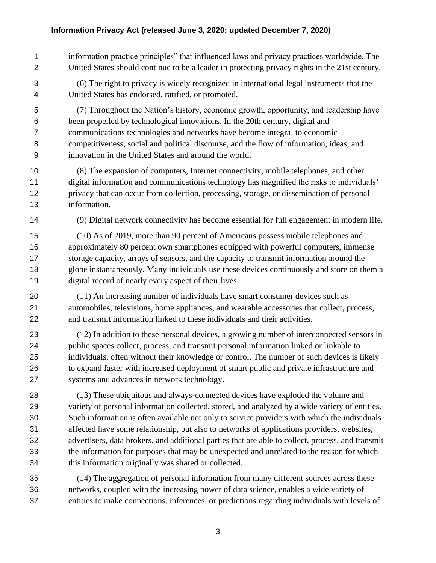- information practice principles" that influenced laws and privacy practices worldwide. The United States should continue to be a leader in protecting privacy rights in the 21st century.
- (6) The right to privacy is widely recognized in international legal instruments that the United States has endorsed, ratified, or promoted.
- (7) Throughout the Nation's history, economic growth, opportunity, and leadership have been propelled by technological innovations. In the 20th century, digital and communications technologies and networks have become integral to economic competitiveness, social and political discourse, and the flow of information, ideas, and innovation in the United States and around the world.
- (8) The expansion of computers, Internet connectivity, mobile telephones, and other digital information and communications technology has magnified the risks to individuals' privacy that can occur from collection, processing, storage, or dissemination of personal information.
- 

(9) Digital network connectivity has become essential for full engagement in modern life.

- (10) As of 2019, more than 90 percent of Americans possess mobile telephones and approximately 80 percent own smartphones equipped with powerful computers, immense storage capacity, arrays of sensors, and the capacity to transmit information around the globe instantaneously. Many individuals use these devices continuously and store on them a digital record of nearly every aspect of their lives.
- (11) An increasing number of individuals have smart consumer devices such as automobiles, televisions, home appliances, and wearable accessories that collect, process, and transmit information linked to these individuals and their activities.
- (12) In addition to these personal devices, a growing number of interconnected sensors in public spaces collect, process, and transmit personal information linked or linkable to individuals, often without their knowledge or control. The number of such devices is likely to expand faster with increased deployment of smart public and private infrastructure and systems and advances in network technology.
- (13) These ubiquitous and always-connected devices have exploded the volume and variety of personal information collected, stored, and analyzed by a wide variety of entities. Such information is often available not only to service providers with which the individuals affected have some relationship, but also to networks of applications providers, websites, advertisers, data brokers, and additional parties that are able to collect, process, and transmit the information for purposes that may be unexpected and unrelated to the reason for which this information originally was shared or collected.
- (14) The aggregation of personal information from many different sources across these networks, coupled with the increasing power of data science, enables a wide variety of entities to make connections, inferences, or predictions regarding individuals with levels of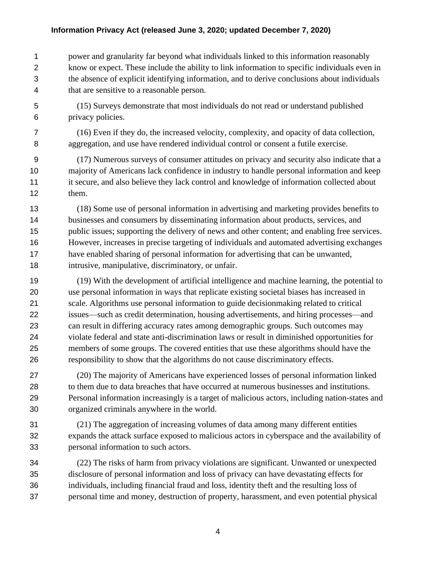power and granularity far beyond what individuals linked to this information reasonably know or expect. These include the ability to link information to specific individuals even in the absence of explicit identifying information, and to derive conclusions about individuals that are sensitive to a reasonable person.

 (15) Surveys demonstrate that most individuals do not read or understand published privacy policies.

 (16) Even if they do, the increased velocity, complexity, and opacity of data collection, aggregation, and use have rendered individual control or consent a futile exercise.

 (17) Numerous surveys of consumer attitudes on privacy and security also indicate that a majority of Americans lack confidence in industry to handle personal information and keep it secure, and also believe they lack control and knowledge of information collected about them.

 (18) Some use of personal information in advertising and marketing provides benefits to businesses and consumers by disseminating information about products, services, and public issues; supporting the delivery of news and other content; and enabling free services. However, increases in precise targeting of individuals and automated advertising exchanges have enabled sharing of personal information for advertising that can be unwanted, intrusive, manipulative, discriminatory, or unfair.

 (19) With the development of artificial intelligence and machine learning, the potential to use personal information in ways that replicate existing societal biases has increased in scale. Algorithms use personal information to guide decisionmaking related to critical issues—such as credit determination, housing advertisements, and hiring processes—and can result in differing accuracy rates among demographic groups. Such outcomes may violate federal and state anti-discrimination laws or result in diminished opportunities for members of some groups. The covered entities that use these algorithms should have the responsibility to show that the algorithms do not cause discriminatory effects.

 (20) The majority of Americans have experienced losses of personal information linked to them due to data breaches that have occurred at numerous businesses and institutions. Personal information increasingly is a target of malicious actors, including nation-states and organized criminals anywhere in the world.

 (21) The aggregation of increasing volumes of data among many different entities expands the attack surface exposed to malicious actors in cyberspace and the availability of personal information to such actors.

 (22) The risks of harm from privacy violations are significant. Unwanted or unexpected disclosure of personal information and loss of privacy can have devastating effects for individuals, including financial fraud and loss, identity theft and the resulting loss of personal time and money, destruction of property, harassment, and even potential physical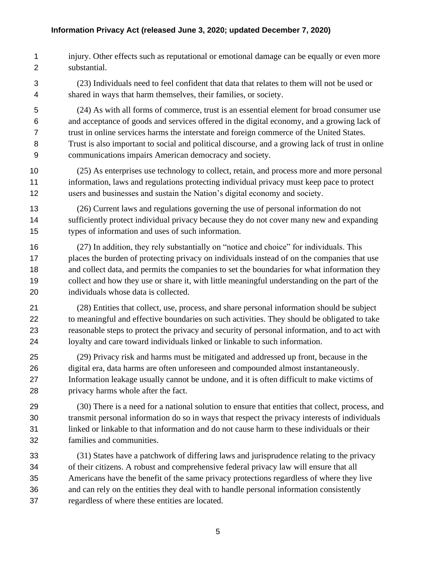- injury. Other effects such as reputational or emotional damage can be equally or even more substantial.
- (23) Individuals need to feel confident that data that relates to them will not be used or shared in ways that harm themselves, their families, or society.
- (24) As with all forms of commerce, trust is an essential element for broad consumer use and acceptance of goods and services offered in the digital economy, and a growing lack of trust in online services harms the interstate and foreign commerce of the United States. Trust is also important to social and political discourse, and a growing lack of trust in online communications impairs American democracy and society.
- (25) As enterprises use technology to collect, retain, and process more and more personal information, laws and regulations protecting individual privacy must keep pace to protect users and businesses and sustain the Nation's digital economy and society.
- (26) Current laws and regulations governing the use of personal information do not sufficiently protect individual privacy because they do not cover many new and expanding types of information and uses of such information.
- (27) In addition, they rely substantially on "notice and choice" for individuals. This places the burden of protecting privacy on individuals instead of on the companies that use 18 and collect data, and permits the companies to set the boundaries for what information they collect and how they use or share it, with little meaningful understanding on the part of the individuals whose data is collected.
- (28) Entities that collect, use, process, and share personal information should be subject to meaningful and effective boundaries on such activities. They should be obligated to take reasonable steps to protect the privacy and security of personal information, and to act with loyalty and care toward individuals linked or linkable to such information.
- (29) Privacy risk and harms must be mitigated and addressed up front, because in the digital era, data harms are often unforeseen and compounded almost instantaneously. Information leakage usually cannot be undone, and it is often difficult to make victims of privacy harms whole after the fact.
- (30) There is a need for a national solution to ensure that entities that collect, process, and transmit personal information do so in ways that respect the privacy interests of individuals linked or linkable to that information and do not cause harm to these individuals or their families and communities.
- (31) States have a patchwork of differing laws and jurisprudence relating to the privacy of their citizens. A robust and comprehensive federal privacy law will ensure that all Americans have the benefit of the same privacy protections regardless of where they live and can rely on the entities they deal with to handle personal information consistently regardless of where these entities are located.
	-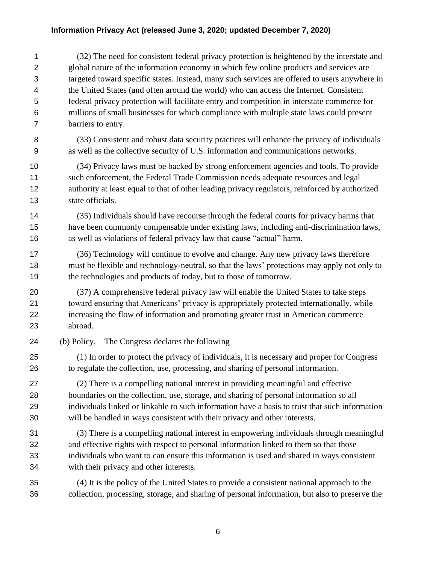(32) The need for consistent federal privacy protection is heightened by the interstate and global nature of the information economy in which few online products and services are targeted toward specific states. Instead, many such services are offered to users anywhere in the United States (and often around the world) who can access the Internet. Consistent federal privacy protection will facilitate entry and competition in interstate commerce for millions of small businesses for which compliance with multiple state laws could present barriers to entry.

 (33) Consistent and robust data security practices will enhance the privacy of individuals as well as the collective security of U.S. information and communications networks.

 (34) Privacy laws must be backed by strong enforcement agencies and tools. To provide such enforcement, the Federal Trade Commission needs adequate resources and legal authority at least equal to that of other leading privacy regulators, reinforced by authorized state officials.

 (35) Individuals should have recourse through the federal courts for privacy harms that have been commonly compensable under existing laws, including anti-discrimination laws, as well as violations of federal privacy law that cause "actual" harm.

 (36) Technology will continue to evolve and change. Any new privacy laws therefore must be flexible and technology-neutral, so that the laws' protections may apply not only to the technologies and products of today, but to those of tomorrow.

 (37) A comprehensive federal privacy law will enable the United States to take steps toward ensuring that Americans' privacy is appropriately protected internationally, while increasing the flow of information and promoting greater trust in American commerce abroad.

(b) Policy.—The Congress declares the following—

 (1) In order to protect the privacy of individuals, it is necessary and proper for Congress to regulate the collection, use, processing, and sharing of personal information.

 (2) There is a compelling national interest in providing meaningful and effective boundaries on the collection, use, storage, and sharing of personal information so all individuals linked or linkable to such information have a basis to trust that such information will be handled in ways consistent with their privacy and other interests.

 (3) There is a compelling national interest in empowering individuals through meaningful and effective rights with respect to personal information linked to them so that those individuals who want to can ensure this information is used and shared in ways consistent with their privacy and other interests.

 (4) It is the policy of the United States to provide a consistent national approach to the collection, processing, storage, and sharing of personal information, but also to preserve the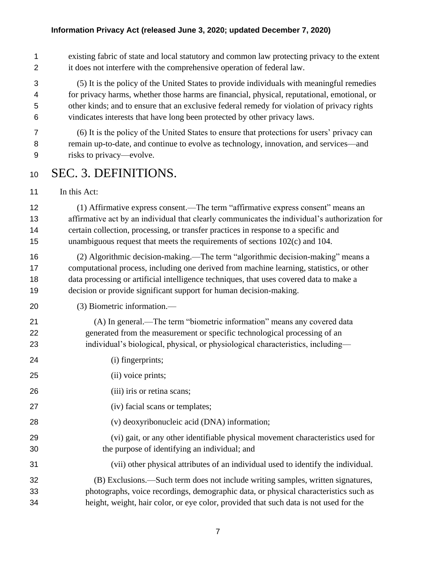existing fabric of state and local statutory and common law protecting privacy to the extent it does not interfere with the comprehensive operation of federal law.

 (5) It is the policy of the United States to provide individuals with meaningful remedies for privacy harms, whether those harms are financial, physical, reputational, emotional, or other kinds; and to ensure that an exclusive federal remedy for violation of privacy rights vindicates interests that have long been protected by other privacy laws.

- (6) It is the policy of the United States to ensure that protections for users' privacy can remain up-to-date, and continue to evolve as technology, innovation, and services—and risks to privacy—evolve.
- SEC. 3. DEFINITIONS.
- 11 In this Act:

 (1) Affirmative express consent.—The term "affirmative express consent" means an affirmative act by an individual that clearly communicates the individual's authorization for certain collection, processing, or transfer practices in response to a specific and unambiguous request that meets the requirements of sections 102(c) and 104.

- (2) Algorithmic decision-making.—The term "algorithmic decision-making" means a computational process, including one derived from machine learning, statistics, or other data processing or artificial intelligence techniques, that uses covered data to make a decision or provide significant support for human decision-making.
- (3) Biometric information.—
- (A) In general.—The term "biometric information" means any covered data generated from the measurement or specific technological processing of an individual's biological, physical, or physiological characteristics, including—
- (i) fingerprints;
- (ii) voice prints;
- (iii) iris or retina scans;
- (iv) facial scans or templates;
- (v) deoxyribonucleic acid (DNA) information;
- (vi) gait, or any other identifiable physical movement characteristics used for the purpose of identifying an individual; and
- (vii) other physical attributes of an individual used to identify the individual.
- (B) Exclusions.—Such term does not include writing samples, written signatures, photographs, voice recordings, demographic data, or physical characteristics such as height, weight, hair color, or eye color, provided that such data is not used for the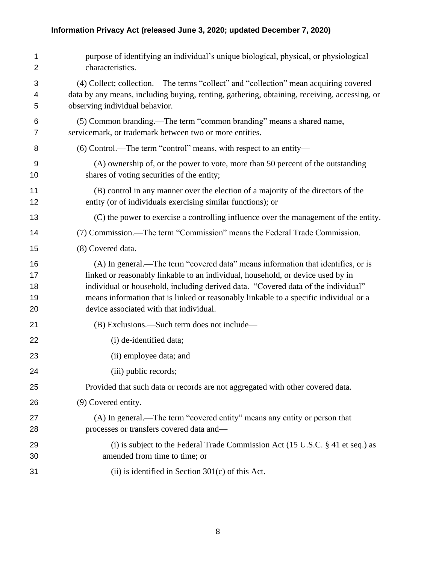| 1<br>$\overline{2}$        | purpose of identifying an individual's unique biological, physical, or physiological<br>characteristics.                                                                                                                                                                                                                                                                                     |
|----------------------------|----------------------------------------------------------------------------------------------------------------------------------------------------------------------------------------------------------------------------------------------------------------------------------------------------------------------------------------------------------------------------------------------|
| 3<br>4<br>5                | (4) Collect; collection.—The terms "collect" and "collection" mean acquiring covered<br>data by any means, including buying, renting, gathering, obtaining, receiving, accessing, or<br>observing individual behavior.                                                                                                                                                                       |
| 6<br>7                     | (5) Common branding.—The term "common branding" means a shared name,<br>servicemark, or trademark between two or more entities.                                                                                                                                                                                                                                                              |
| 8                          | (6) Control.—The term "control" means, with respect to an entity—                                                                                                                                                                                                                                                                                                                            |
| 9<br>10                    | (A) ownership of, or the power to vote, more than 50 percent of the outstanding<br>shares of voting securities of the entity;                                                                                                                                                                                                                                                                |
| 11<br>12                   | (B) control in any manner over the election of a majority of the directors of the<br>entity (or of individuals exercising similar functions); or                                                                                                                                                                                                                                             |
| 13                         | (C) the power to exercise a controlling influence over the management of the entity.                                                                                                                                                                                                                                                                                                         |
| 14                         | (7) Commission.—The term "Commission" means the Federal Trade Commission.                                                                                                                                                                                                                                                                                                                    |
| 15                         | (8) Covered data.—                                                                                                                                                                                                                                                                                                                                                                           |
| 16<br>17<br>18<br>19<br>20 | (A) In general.—The term "covered data" means information that identifies, or is<br>linked or reasonably linkable to an individual, household, or device used by in<br>individual or household, including derived data. "Covered data of the individual"<br>means information that is linked or reasonably linkable to a specific individual or a<br>device associated with that individual. |
| 21                         | (B) Exclusions.—Such term does not include—                                                                                                                                                                                                                                                                                                                                                  |
| 22                         | (i) de-identified data;                                                                                                                                                                                                                                                                                                                                                                      |
| 23                         | (ii) employee data; and                                                                                                                                                                                                                                                                                                                                                                      |
| 24                         | (iii) public records;                                                                                                                                                                                                                                                                                                                                                                        |
| 25                         | Provided that such data or records are not aggregated with other covered data.                                                                                                                                                                                                                                                                                                               |
| 26                         | $(9)$ Covered entity.—                                                                                                                                                                                                                                                                                                                                                                       |
| 27<br>28                   | (A) In general.—The term "covered entity" means any entity or person that<br>processes or transfers covered data and-                                                                                                                                                                                                                                                                        |
| 29<br>30                   | (i) is subject to the Federal Trade Commission Act (15 U.S.C. $\S$ 41 et seq.) as<br>amended from time to time; or                                                                                                                                                                                                                                                                           |
| 31                         | $(ii)$ is identified in Section 301 $(c)$ of this Act.                                                                                                                                                                                                                                                                                                                                       |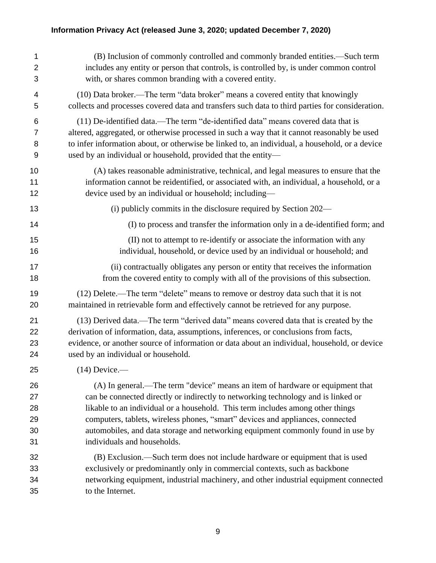| 1              | (B) Inclusion of commonly controlled and commonly branded entities.—Such term                   |
|----------------|-------------------------------------------------------------------------------------------------|
| $\overline{2}$ | includes any entity or person that controls, is controlled by, is under common control          |
| 3              | with, or shares common branding with a covered entity.                                          |
| 4              | (10) Data broker.—The term "data broker" means a covered entity that knowingly                  |
| 5              | collects and processes covered data and transfers such data to third parties for consideration. |
| 6              | (11) De-identified data.—The term "de-identified data" means covered data that is               |
| 7              | altered, aggregated, or otherwise processed in such a way that it cannot reasonably be used     |
| 8              | to infer information about, or otherwise be linked to, an individual, a household, or a device  |
| 9              | used by an individual or household, provided that the entity-                                   |
| 10             | (A) takes reasonable administrative, technical, and legal measures to ensure that the           |
| 11             | information cannot be reidentified, or associated with, an individual, a household, or a        |
| 12             | device used by an individual or household; including—                                           |
| 13             | (i) publicly commits in the disclosure required by Section 202—                                 |
| 14             | (I) to process and transfer the information only in a de-identified form; and                   |
| 15             | (II) not to attempt to re-identify or associate the information with any                        |
| 16             | individual, household, or device used by an individual or household; and                        |
| 17             | (ii) contractually obligates any person or entity that receives the information                 |
| 18             | from the covered entity to comply with all of the provisions of this subsection.                |
| 19             | (12) Delete.—The term "delete" means to remove or destroy data such that it is not              |
| 20             | maintained in retrievable form and effectively cannot be retrieved for any purpose.             |
| 21             | (13) Derived data.—The term "derived data" means covered data that is created by the            |
| 22             | derivation of information, data, assumptions, inferences, or conclusions from facts,            |
| 23             | evidence, or another source of information or data about an individual, household, or device    |
| 24             | used by an individual or household.                                                             |
| 25             | $(14)$ Device.—                                                                                 |
| 26             | (A) In general.—The term "device" means an item of hardware or equipment that                   |
| 27             | can be connected directly or indirectly to networking technology and is linked or               |
| 28             | likable to an individual or a household. This term includes among other things                  |
| 29             | computers, tablets, wireless phones, "smart" devices and appliances, connected                  |
| 30             | automobiles, and data storage and networking equipment commonly found in use by                 |
| 31             | individuals and households.                                                                     |
| 32             | (B) Exclusion.—Such term does not include hardware or equipment that is used                    |
| 33             | exclusively or predominantly only in commercial contexts, such as backbone                      |
| 34             | networking equipment, industrial machinery, and other industrial equipment connected            |
| 35             | to the Internet.                                                                                |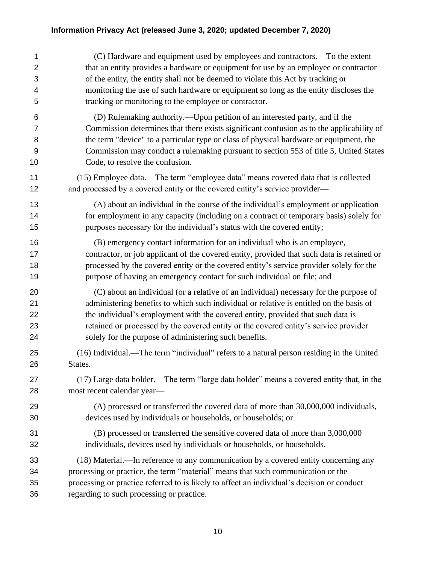| 1              | (C) Hardware and equipment used by employees and contractors.—To the extent                |
|----------------|--------------------------------------------------------------------------------------------|
| $\overline{2}$ | that an entity provides a hardware or equipment for use by an employee or contractor       |
| 3              | of the entity, the entity shall not be deemed to violate this Act by tracking or           |
| 4              | monitoring the use of such hardware or equipment so long as the entity discloses the       |
| 5              | tracking or monitoring to the employee or contractor.                                      |
| 6              | (D) Rulemaking authority.—Upon petition of an interested party, and if the                 |
| $\overline{7}$ | Commission determines that there exists significant confusion as to the applicability of   |
| 8              | the term "device" to a particular type or class of physical hardware or equipment, the     |
| 9              | Commission may conduct a rulemaking pursuant to section 553 of title 5, United States      |
| 10             | Code, to resolve the confusion.                                                            |
| 11             | (15) Employee data.—The term "employee data" means covered data that is collected          |
| 12             | and processed by a covered entity or the covered entity's service provider—                |
| 13             | (A) about an individual in the course of the individual's employment or application        |
| 14             | for employment in any capacity (including on a contract or temporary basis) solely for     |
| 15             | purposes necessary for the individual's status with the covered entity;                    |
| 16             | (B) emergency contact information for an individual who is an employee,                    |
| 17             | contractor, or job applicant of the covered entity, provided that such data is retained or |
| 18             | processed by the covered entity or the covered entity's service provider solely for the    |
| 19             | purpose of having an emergency contact for such individual on file; and                    |
| 20             | (C) about an individual (or a relative of an individual) necessary for the purpose of      |
| 21             | administering benefits to which such individual or relative is entitled on the basis of    |
| 22             | the individual's employment with the covered entity, provided that such data is            |
| 23             | retained or processed by the covered entity or the covered entity's service provider       |
| 24             | solely for the purpose of administering such benefits.                                     |
| 25             | (16) Individual.—The term "individual" refers to a natural person residing in the United   |
| 26             | States.                                                                                    |
| 27             | (17) Large data holder.—The term "large data holder" means a covered entity that, in the   |
| 28             | most recent calendar year-                                                                 |
| 29             | (A) processed or transferred the covered data of more than 30,000,000 individuals,         |
| 30             | devices used by individuals or households, or households; or                               |
| 31             | (B) processed or transferred the sensitive covered data of more than 3,000,000             |
| 32             | individuals, devices used by individuals or households, or households.                     |
| 33             | (18) Material.—In reference to any communication by a covered entity concerning any        |
| 34             | processing or practice, the term "material" means that such communication or the           |
| 35             | processing or practice referred to is likely to affect an individual's decision or conduct |
| 36             | regarding to such processing or practice.                                                  |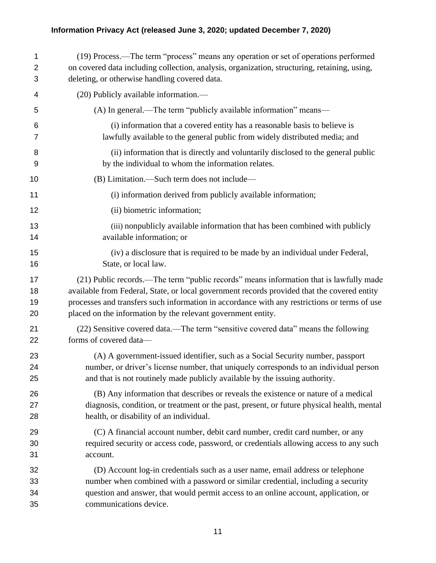| 1  | (19) Process.—The term "process" means any operation or set of operations performed          |
|----|----------------------------------------------------------------------------------------------|
| 2  | on covered data including collection, analysis, organization, structuring, retaining, using, |
| 3  | deleting, or otherwise handling covered data.                                                |
| 4  | (20) Publicly available information.—                                                        |
| 5  | (A) In general.—The term "publicly available information" means—                             |
| 6  | (i) information that a covered entity has a reasonable basis to believe is                   |
| 7  | lawfully available to the general public from widely distributed media; and                  |
| 8  | (ii) information that is directly and voluntarily disclosed to the general public            |
| 9  | by the individual to whom the information relates.                                           |
| 10 | (B) Limitation.—Such term does not include—                                                  |
| 11 | (i) information derived from publicly available information;                                 |
| 12 | (ii) biometric information;                                                                  |
| 13 | (iii) nonpublicly available information that has been combined with publicly                 |
| 14 | available information; or                                                                    |
| 15 | (iv) a disclosure that is required to be made by an individual under Federal,                |
| 16 | State, or local law.                                                                         |
| 17 | (21) Public records.—The term "public records" means information that is lawfully made       |
| 18 | available from Federal, State, or local government records provided that the covered entity  |
| 19 | processes and transfers such information in accordance with any restrictions or terms of use |
| 20 | placed on the information by the relevant government entity.                                 |
| 21 | (22) Sensitive covered data.—The term "sensitive covered data" means the following           |
| 22 | forms of covered data-                                                                       |
| 23 | (A) A government-issued identifier, such as a Social Security number, passport               |
| 24 | number, or driver's license number, that uniquely corresponds to an individual person        |
| 25 | and that is not routinely made publicly available by the issuing authority.                  |
| 26 | (B) Any information that describes or reveals the existence or nature of a medical           |
| 27 | diagnosis, condition, or treatment or the past, present, or future physical health, mental   |
| 28 | health, or disability of an individual.                                                      |
| 29 | (C) A financial account number, debit card number, credit card number, or any                |
| 30 | required security or access code, password, or credentials allowing access to any such       |
| 31 | account.                                                                                     |
| 32 | (D) Account log-in credentials such as a user name, email address or telephone               |
| 33 | number when combined with a password or similar credential, including a security             |
| 34 | question and answer, that would permit access to an online account, application, or          |
| 35 | communications device.                                                                       |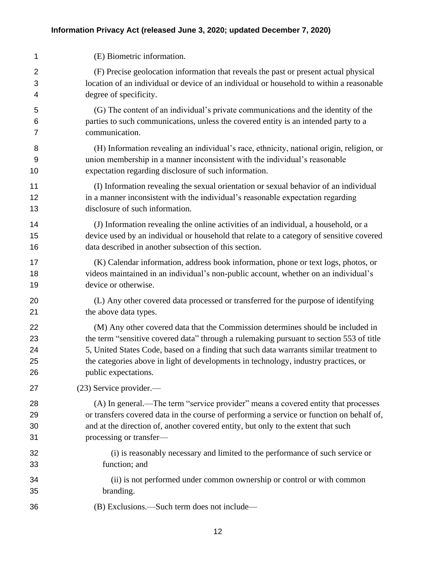| 1              | (E) Biometric information.                                                                |
|----------------|-------------------------------------------------------------------------------------------|
| $\overline{2}$ | (F) Precise geolocation information that reveals the past or present actual physical      |
| 3              | location of an individual or device of an individual or household to within a reasonable  |
| 4              | degree of specificity.                                                                    |
| 5              | (G) The content of an individual's private communications and the identity of the         |
| 6              | parties to such communications, unless the covered entity is an intended party to a       |
| 7              | communication.                                                                            |
| 8              | (H) Information revealing an individual's race, ethnicity, national origin, religion, or  |
| 9              | union membership in a manner inconsistent with the individual's reasonable                |
| 10             | expectation regarding disclosure of such information.                                     |
| 11             | (I) Information revealing the sexual orientation or sexual behavior of an individual      |
| 12             | in a manner inconsistent with the individual's reasonable expectation regarding           |
| 13             | disclosure of such information.                                                           |
| 14             | (J) Information revealing the online activities of an individual, a household, or a       |
| 15             | device used by an individual or household that relate to a category of sensitive covered  |
| 16             | data described in another subsection of this section.                                     |
| 17             | (K) Calendar information, address book information, phone or text logs, photos, or        |
| 18             | videos maintained in an individual's non-public account, whether on an individual's       |
| 19             | device or otherwise.                                                                      |
| 20             | (L) Any other covered data processed or transferred for the purpose of identifying        |
| 21             | the above data types.                                                                     |
| 22             | (M) Any other covered data that the Commission determines should be included in           |
| 23             | the term "sensitive covered data" through a rulemaking pursuant to section 553 of title   |
| 24             | 5, United States Code, based on a finding that such data warrants similar treatment to    |
| 25             | the categories above in light of developments in technology, industry practices, or       |
| 26             | public expectations.                                                                      |
| 27             | (23) Service provider.—                                                                   |
| 28             | (A) In general.—The term "service provider" means a covered entity that processes         |
| 29             | or transfers covered data in the course of performing a service or function on behalf of, |
| 30             | and at the direction of, another covered entity, but only to the extent that such         |
| 31             | processing or transfer-                                                                   |
| 32             | (i) is reasonably necessary and limited to the performance of such service or             |
| 33             | function; and                                                                             |
| 34             | (ii) is not performed under common ownership or control or with common                    |
| 35             | branding.                                                                                 |
| 36             | (B) Exclusions.—Such term does not include—                                               |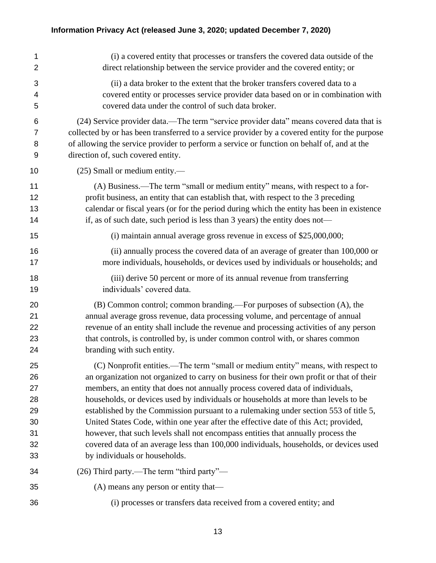| 1              | (i) a covered entity that processes or transfers the covered data outside of the               |
|----------------|------------------------------------------------------------------------------------------------|
| $\overline{2}$ | direct relationship between the service provider and the covered entity; or                    |
| 3              | (ii) a data broker to the extent that the broker transfers covered data to a                   |
| 4              | covered entity or processes service provider data based on or in combination with              |
| 5              | covered data under the control of such data broker.                                            |
| 6              | (24) Service provider data.—The term "service provider data" means covered data that is        |
| $\overline{7}$ | collected by or has been transferred to a service provider by a covered entity for the purpose |
| 8              | of allowing the service provider to perform a service or function on behalf of, and at the     |
| 9              | direction of, such covered entity.                                                             |
| 10             | (25) Small or medium entity.—                                                                  |
| 11             | (A) Business.—The term "small or medium entity" means, with respect to a for-                  |
| 12             | profit business, an entity that can establish that, with respect to the 3 preceding            |
| 13             | calendar or fiscal years (or for the period during which the entity has been in existence      |
| 14             | if, as of such date, such period is less than 3 years) the entity does not—                    |
| 15             | (i) maintain annual average gross revenue in excess of $$25,000,000;$                          |
| 16             | (ii) annually process the covered data of an average of greater than 100,000 or                |
| 17             | more individuals, households, or devices used by individuals or households; and                |
| 18             | (iii) derive 50 percent or more of its annual revenue from transferring                        |
| 19             | individuals' covered data.                                                                     |
| 20             | (B) Common control; common branding.—For purposes of subsection (A), the                       |
| 21             | annual average gross revenue, data processing volume, and percentage of annual                 |
| 22             | revenue of an entity shall include the revenue and processing activities of any person         |
| 23             | that controls, is controlled by, is under common control with, or shares common                |
| 24             | branding with such entity.                                                                     |
| 25             | (C) Nonprofit entities.—The term "small or medium entity" means, with respect to               |
| 26             | an organization not organized to carry on business for their own profit or that of their       |
| 27             | members, an entity that does not annually process covered data of individuals,                 |
| 28             | households, or devices used by individuals or households at more than levels to be             |
| 29             | established by the Commission pursuant to a rulemaking under section 553 of title 5,           |
| 30             | United States Code, within one year after the effective date of this Act; provided,            |
| 31             | however, that such levels shall not encompass entities that annually process the               |
| 32             | covered data of an average less than 100,000 individuals, households, or devices used          |
| 33             | by individuals or households.                                                                  |
| 34             | (26) Third party.—The term "third party"—                                                      |
| 35             | (A) means any person or entity that—                                                           |
| 36             | (i) processes or transfers data received from a covered entity; and                            |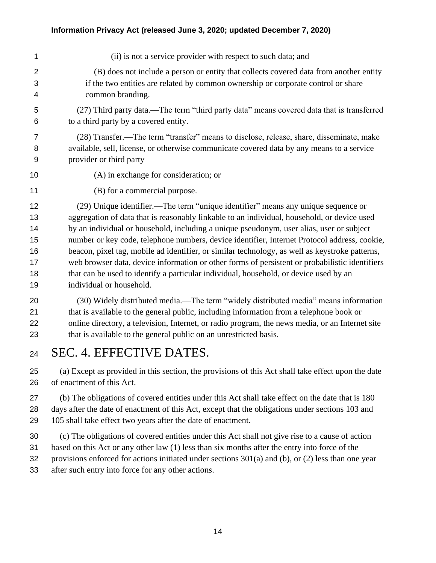| 1              | (ii) is not a service provider with respect to such data; and                                   |
|----------------|-------------------------------------------------------------------------------------------------|
| $\overline{2}$ | (B) does not include a person or entity that collects covered data from another entity          |
| 3              | if the two entities are related by common ownership or corporate control or share               |
| 4              | common branding.                                                                                |
| 5              | (27) Third party data.—The term "third party data" means covered data that is transferred       |
| 6              | to a third party by a covered entity.                                                           |
| $\overline{7}$ | (28) Transfer.—The term "transfer" means to disclose, release, share, disseminate, make         |
| 8              | available, sell, license, or otherwise communicate covered data by any means to a service       |
| 9              | provider or third party-                                                                        |
| 10             | (A) in exchange for consideration; or                                                           |
| 11             | (B) for a commercial purpose.                                                                   |
| 12             | (29) Unique identifier.—The term "unique identifier" means any unique sequence or               |
| 13             | aggregation of data that is reasonably linkable to an individual, household, or device used     |
| 14             | by an individual or household, including a unique pseudonym, user alias, user or subject        |
| 15             | number or key code, telephone numbers, device identifier, Internet Protocol address, cookie,    |
| 16             | beacon, pixel tag, mobile ad identifier, or similar technology, as well as keystroke patterns,  |
| 17             | web browser data, device information or other forms of persistent or probabilistic identifiers  |
| 18             | that can be used to identify a particular individual, household, or device used by an           |
| 19             | individual or household.                                                                        |
| 20             | (30) Widely distributed media.—The term "widely distributed media" means information            |
| 21             | that is available to the general public, including information from a telephone book or         |
| 22             | online directory, a television, Internet, or radio program, the news media, or an Internet site |
| 23             | that is available to the general public on an unrestricted basis.                               |
|                |                                                                                                 |

SEC. 4. EFFECTIVE DATES.

 (a) Except as provided in this section, the provisions of this Act shall take effect upon the date of enactment of this Act.

 (b) The obligations of covered entities under this Act shall take effect on the date that is 180 days after the date of enactment of this Act, except that the obligations under sections 103 and 105 shall take effect two years after the date of enactment.

 (c) The obligations of covered entities under this Act shall not give rise to a cause of action based on this Act or any other law (1) less than six months after the entry into force of the provisions enforced for actions initiated under sections 301(a) and (b), or (2) less than one year after such entry into force for any other actions.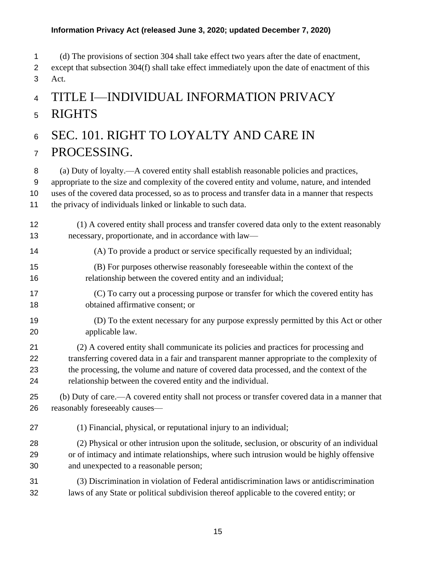(d) The provisions of section 304 shall take effect two years after the date of enactment,

 except that subsection 304(f) shall take effect immediately upon the date of enactment of this Act.

# TITLE I—INDIVIDUAL INFORMATION PRIVACY RIGHTS

# SEC. 101. RIGHT TO LOYALTY AND CARE IN

### PROCESSING.

(a) Duty of loyalty.—A covered entity shall establish reasonable policies and practices,

appropriate to the size and complexity of the covered entity and volume, nature, and intended

uses of the covered data processed, so as to process and transfer data in a manner that respects

the privacy of individuals linked or linkable to such data.

#### (1) A covered entity shall process and transfer covered data only to the extent reasonably necessary, proportionate, and in accordance with law—

- (A) To provide a product or service specifically requested by an individual;
- (B) For purposes otherwise reasonably foreseeable within the context of the relationship between the covered entity and an individual;
- (C) To carry out a processing purpose or transfer for which the covered entity has obtained affirmative consent; or
- (D) To the extent necessary for any purpose expressly permitted by this Act or other applicable law.
- (2) A covered entity shall communicate its policies and practices for processing and transferring covered data in a fair and transparent manner appropriate to the complexity of the processing, the volume and nature of covered data processed, and the context of the relationship between the covered entity and the individual.
- (b) Duty of care.—A covered entity shall not process or transfer covered data in a manner that reasonably foreseeably causes—
- (1) Financial, physical, or reputational injury to an individual;
- (2) Physical or other intrusion upon the solitude, seclusion, or obscurity of an individual or of intimacy and intimate relationships, where such intrusion would be highly offensive and unexpected to a reasonable person;
- (3) Discrimination in violation of Federal antidiscrimination laws or antidiscrimination laws of any State or political subdivision thereof applicable to the covered entity; or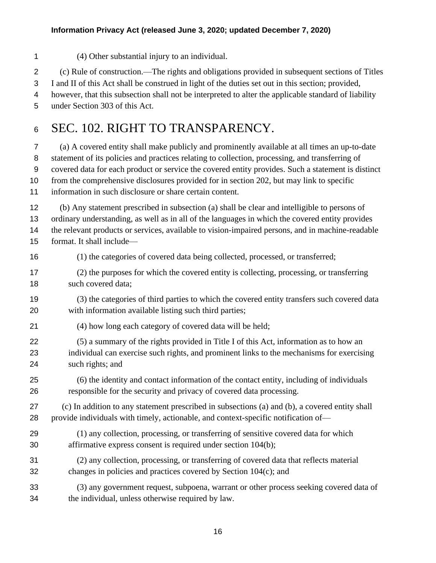(4) Other substantial injury to an individual.

(c) Rule of construction.—The rights and obligations provided in subsequent sections of Titles

I and II of this Act shall be construed in light of the duties set out in this section; provided,

however, that this subsection shall not be interpreted to alter the applicable standard of liability

under Section 303 of this Act.

# 6 SEC. 102. RIGHT TO TRANSPARENCY.

 (a) A covered entity shall make publicly and prominently available at all times an up-to-date statement of its policies and practices relating to collection, processing, and transferring of covered data for each product or service the covered entity provides. Such a statement is distinct from the comprehensive disclosures provided for in section 202, but may link to specific information in such disclosure or share certain content.

 (b) Any statement prescribed in subsection (a) shall be clear and intelligible to persons of ordinary understanding, as well as in all of the languages in which the covered entity provides the relevant products or services, available to vision-impaired persons, and in machine-readable format. It shall include—

(1) the categories of covered data being collected, processed, or transferred;

 (2) the purposes for which the covered entity is collecting, processing, or transferring 18 such covered data;

 (3) the categories of third parties to which the covered entity transfers such covered data with information available listing such third parties;

(4) how long each category of covered data will be held;

 (5) a summary of the rights provided in Title I of this Act, information as to how an individual can exercise such rights, and prominent links to the mechanisms for exercising such rights; and

 (6) the identity and contact information of the contact entity, including of individuals responsible for the security and privacy of covered data processing.

 (c) In addition to any statement prescribed in subsections (a) and (b), a covered entity shall provide individuals with timely, actionable, and context-specific notification of—

 (1) any collection, processing, or transferring of sensitive covered data for which affirmative express consent is required under section 104(b);

 (2) any collection, processing, or transferring of covered data that reflects material changes in policies and practices covered by Section 104(c); and

 (3) any government request, subpoena, warrant or other process seeking covered data of the individual, unless otherwise required by law.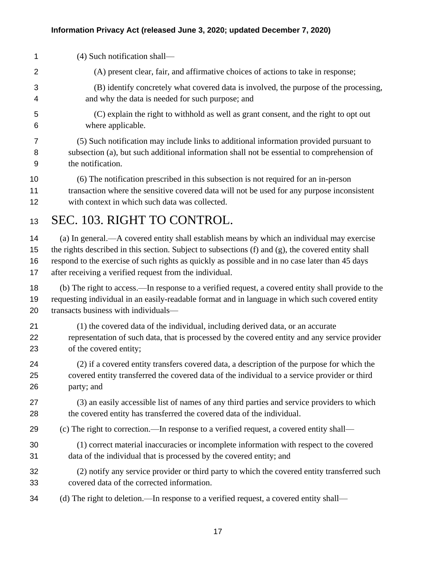(4) Such notification shall— (A) present clear, fair, and affirmative choices of actions to take in response; (B) identify concretely what covered data is involved, the purpose of the processing, and why the data is needed for such purpose; and (C) explain the right to withhold as well as grant consent, and the right to opt out where applicable. (5) Such notification may include links to additional information provided pursuant to subsection (a), but such additional information shall not be essential to comprehension of the notification. (6) The notification prescribed in this subsection is not required for an in-person transaction where the sensitive covered data will not be used for any purpose inconsistent with context in which such data was collected. SEC. 103. RIGHT TO CONTROL. (a) In general.—A covered entity shall establish means by which an individual may exercise the rights described in this section. Subject to subsections (f) and (g), the covered entity shall respond to the exercise of such rights as quickly as possible and in no case later than 45 days after receiving a verified request from the individual. (b) The right to access.—In response to a verified request, a covered entity shall provide to the requesting individual in an easily-readable format and in language in which such covered entity transacts business with individuals— (1) the covered data of the individual, including derived data, or an accurate representation of such data, that is processed by the covered entity and any service provider of the covered entity; (2) if a covered entity transfers covered data, a description of the purpose for which the covered entity transferred the covered data of the individual to a service provider or third party; and (3) an easily accessible list of names of any third parties and service providers to which 28 the covered entity has transferred the covered data of the individual. (c) The right to correction.—In response to a verified request, a covered entity shall— (1) correct material inaccuracies or incomplete information with respect to the covered data of the individual that is processed by the covered entity; and (2) notify any service provider or third party to which the covered entity transferred such covered data of the corrected information. (d) The right to deletion.—In response to a verified request, a covered entity shall—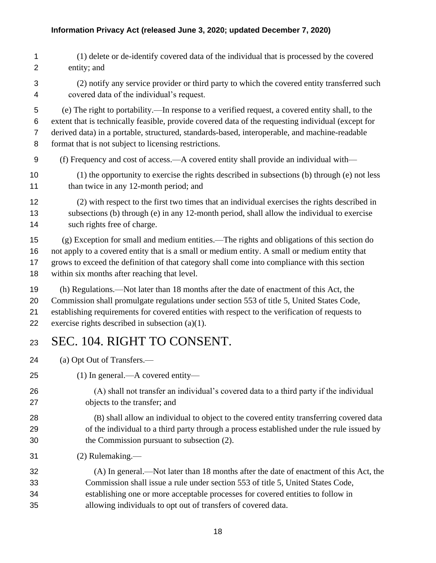- (1) delete or de-identify covered data of the individual that is processed by the covered entity; and
- (2) notify any service provider or third party to which the covered entity transferred such covered data of the individual's request.

 (e) The right to portability.—In response to a verified request, a covered entity shall, to the extent that is technically feasible, provide covered data of the requesting individual (except for derived data) in a portable, structured, standards-based, interoperable, and machine-readable format that is not subject to licensing restrictions.

- (f) Frequency and cost of access.—A covered entity shall provide an individual with—
- (1) the opportunity to exercise the rights described in subsections (b) through (e) not less 11 than twice in any 12-month period; and
- (2) with respect to the first two times that an individual exercises the rights described in subsections (b) through (e) in any 12-month period, shall allow the individual to exercise such rights free of charge.

 (g) Exception for small and medium entities.—The rights and obligations of this section do not apply to a covered entity that is a small or medium entity. A small or medium entity that grows to exceed the definition of that category shall come into compliance with this section within six months after reaching that level.

- (h) Regulations.—Not later than 18 months after the date of enactment of this Act, the Commission shall promulgate regulations under section 553 of title 5, United States Code, establishing requirements for covered entities with respect to the verification of requests to 22 exercise rights described in subsection  $(a)(1)$ .
- SEC. 104. RIGHT TO CONSENT.

(a) Opt Out of Transfers.—

- (1) In general.—A covered entity—
- (A) shall not transfer an individual's covered data to a third party if the individual objects to the transfer; and
- (B) shall allow an individual to object to the covered entity transferring covered data of the individual to a third party through a process established under the rule issued by the Commission pursuant to subsection (2).
- (2) Rulemaking.—
- (A) In general.—Not later than 18 months after the date of enactment of this Act, the Commission shall issue a rule under section 553 of title 5, United States Code, establishing one or more acceptable processes for covered entities to follow in allowing individuals to opt out of transfers of covered data.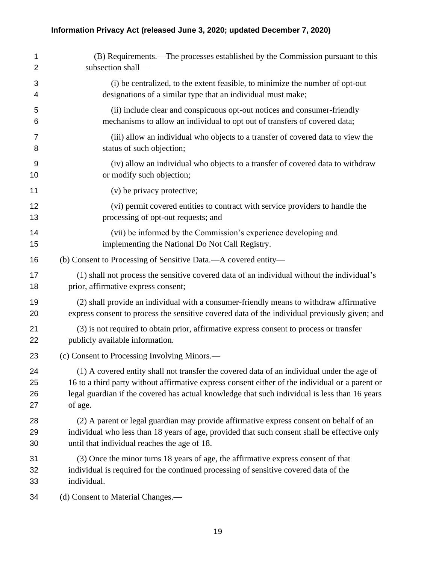| 1  | (B) Requirements.—The processes established by the Commission pursuant to this                  |
|----|-------------------------------------------------------------------------------------------------|
| 2  | subsection shall-                                                                               |
| 3  | (i) be centralized, to the extent feasible, to minimize the number of opt-out                   |
| 4  | designations of a similar type that an individual must make;                                    |
| 5  | (ii) include clear and conspicuous opt-out notices and consumer-friendly                        |
| 6  | mechanisms to allow an individual to opt out of transfers of covered data;                      |
| 7  | (iii) allow an individual who objects to a transfer of covered data to view the                 |
| 8  | status of such objection;                                                                       |
| 9  | (iv) allow an individual who objects to a transfer of covered data to withdraw                  |
| 10 | or modify such objection;                                                                       |
| 11 | (v) be privacy protective;                                                                      |
| 12 | (vi) permit covered entities to contract with service providers to handle the                   |
| 13 | processing of opt-out requests; and                                                             |
| 14 | (vii) be informed by the Commission's experience developing and                                 |
| 15 | implementing the National Do Not Call Registry.                                                 |
| 16 | (b) Consent to Processing of Sensitive Data.—A covered entity—                                  |
| 17 | (1) shall not process the sensitive covered data of an individual without the individual's      |
| 18 | prior, affirmative express consent;                                                             |
| 19 | (2) shall provide an individual with a consumer-friendly means to withdraw affirmative          |
| 20 | express consent to process the sensitive covered data of the individual previously given; and   |
| 21 | (3) is not required to obtain prior, affirmative express consent to process or transfer         |
| 22 | publicly available information.                                                                 |
| 23 | (c) Consent to Processing Involving Minors.—                                                    |
| 24 | (1) A covered entity shall not transfer the covered data of an individual under the age of      |
| 25 | 16 to a third party without affirmative express consent either of the individual or a parent or |
| 26 | legal guardian if the covered has actual knowledge that such individual is less than 16 years   |
| 27 | of age.                                                                                         |
| 28 | (2) A parent or legal guardian may provide affirmative express consent on behalf of an          |
| 29 | individual who less than 18 years of age, provided that such consent shall be effective only    |
| 30 | until that individual reaches the age of 18.                                                    |
| 31 | (3) Once the minor turns 18 years of age, the affirmative express consent of that               |
| 32 | individual is required for the continued processing of sensitive covered data of the            |
| 33 | individual.                                                                                     |
| 34 | (d) Consent to Material Changes.—                                                               |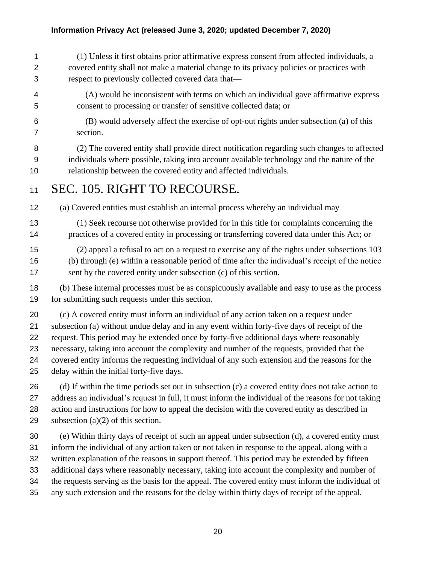(1) Unless it first obtains prior affirmative express consent from affected individuals, a covered entity shall not make a material change to its privacy policies or practices with respect to previously collected covered data that—

- (A) would be inconsistent with terms on which an individual gave affirmative express consent to processing or transfer of sensitive collected data; or
- (B) would adversely affect the exercise of opt-out rights under subsection (a) of this section.

 (2) The covered entity shall provide direct notification regarding such changes to affected individuals where possible, taking into account available technology and the nature of the relationship between the covered entity and affected individuals.

### SEC. 105. RIGHT TO RECOURSE.

(a) Covered entities must establish an internal process whereby an individual may—

- (1) Seek recourse not otherwise provided for in this title for complaints concerning the 14 practices of a covered entity in processing or transferring covered data under this Act; or
- (2) appeal a refusal to act on a request to exercise any of the rights under subsections 103 (b) through (e) within a reasonable period of time after the individual's receipt of the notice sent by the covered entity under subsection (c) of this section.

 (b) These internal processes must be as conspicuously available and easy to use as the process for submitting such requests under this section.

 (c) A covered entity must inform an individual of any action taken on a request under subsection (a) without undue delay and in any event within forty-five days of receipt of the request. This period may be extended once by forty-five additional days where reasonably necessary, taking into account the complexity and number of the requests, provided that the covered entity informs the requesting individual of any such extension and the reasons for the delay within the initial forty-five days.

26 (d) If within the time periods set out in subsection (c) a covered entity does not take action to address an individual's request in full, it must inform the individual of the reasons for not taking action and instructions for how to appeal the decision with the covered entity as described in 29 subsection  $(a)(2)$  of this section.

 (e) Within thirty days of receipt of such an appeal under subsection (d), a covered entity must inform the individual of any action taken or not taken in response to the appeal, along with a written explanation of the reasons in support thereof. This period may be extended by fifteen additional days where reasonably necessary, taking into account the complexity and number of the requests serving as the basis for the appeal. The covered entity must inform the individual of any such extension and the reasons for the delay within thirty days of receipt of the appeal.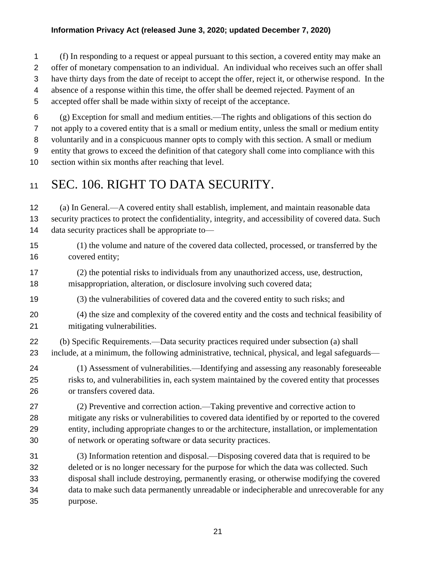(f) In responding to a request or appeal pursuant to this section, a covered entity may make an offer of monetary compensation to an individual. An individual who receives such an offer shall have thirty days from the date of receipt to accept the offer, reject it, or otherwise respond. In the absence of a response within this time, the offer shall be deemed rejected. Payment of an accepted offer shall be made within sixty of receipt of the acceptance.

 (g) Exception for small and medium entities.—The rights and obligations of this section do not apply to a covered entity that is a small or medium entity, unless the small or medium entity voluntarily and in a conspicuous manner opts to comply with this section. A small or medium entity that grows to exceed the definition of that category shall come into compliance with this section within six months after reaching that level.

### 11 SEC. 106. RIGHT TO DATA SECURITY.

 (a) In General.—A covered entity shall establish, implement, and maintain reasonable data security practices to protect the confidentiality, integrity, and accessibility of covered data. Such data security practices shall be appropriate to—

- (1) the volume and nature of the covered data collected, processed, or transferred by the covered entity;
- (2) the potential risks to individuals from any unauthorized access, use, destruction, misappropriation, alteration, or disclosure involving such covered data;
- (3) the vulnerabilities of covered data and the covered entity to such risks; and
- (4) the size and complexity of the covered entity and the costs and technical feasibility of mitigating vulnerabilities.
- (b) Specific Requirements.—Data security practices required under subsection (a) shall include, at a minimum, the following administrative, technical, physical, and legal safeguards—
- (1) Assessment of vulnerabilities.—Identifying and assessing any reasonably foreseeable risks to, and vulnerabilities in, each system maintained by the covered entity that processes or transfers covered data.
- (2) Preventive and correction action.—Taking preventive and corrective action to mitigate any risks or vulnerabilities to covered data identified by or reported to the covered entity, including appropriate changes to or the architecture, installation, or implementation of network or operating software or data security practices.
- (3) Information retention and disposal.—Disposing covered data that is required to be deleted or is no longer necessary for the purpose for which the data was collected. Such disposal shall include destroying, permanently erasing, or otherwise modifying the covered data to make such data permanently unreadable or indecipherable and unrecoverable for any purpose.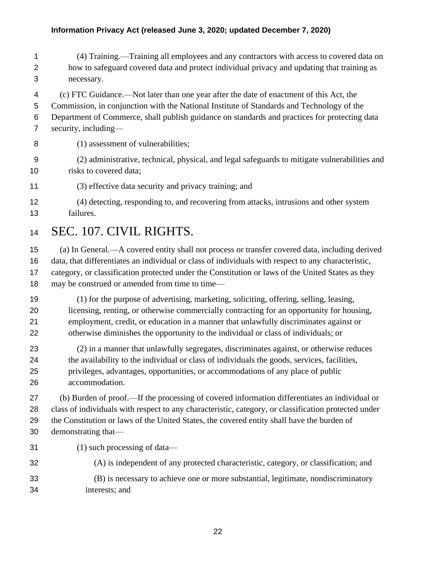- (4) Training.—Training all employees and any contractors with access to covered data on how to safeguard covered data and protect individual privacy and updating that training as necessary.
- (c) FTC Guidance.—Not later than one year after the date of enactment of this Act, the Commission, in conjunction with the National Institute of Standards and Technology of the Department of Commerce, shall publish guidance on standards and practices for protecting data security, including—
- (1) assessment of vulnerabilities;
- (2) administrative, technical, physical, and legal safeguards to mitigate vulnerabilities and risks to covered data;
- (3) effective data security and privacy training; and
- (4) detecting, responding to, and recovering from attacks, intrusions and other system failures.
- SEC. 107. CIVIL RIGHTS.
- (a) In General.—A covered entity shall not process or transfer covered data, including derived data, that differentiates an individual or class of individuals with respect to any characteristic, category, or classification protected under the Constitution or laws of the United States as they 18 may be construed or amended from time to time—
- (1) for the purpose of advertising, marketing, soliciting, offering, selling, leasing, licensing, renting, or otherwise commercially contracting for an opportunity for housing, employment, credit, or education in a manner that unlawfully discriminates against or otherwise diminishes the opportunity to the individual or class of individuals; or
- (2) in a manner that unlawfully segregates, discriminates against, or otherwise reduces the availability to the individual or class of individuals the goods, services, facilities, privileges, advantages, opportunities, or accommodations of any place of public accommodation.

 (b) Burden of proof.—If the processing of covered information differentiates an individual or class of individuals with respect to any characteristic, category, or classification protected under the Constitution or laws of the United States, the covered entity shall have the burden of demonstrating that—

- (1) such processing of data—
- (A) is independent of any protected characteristic, category, or classification; and
- (B) is necessary to achieve one or more substantial, legitimate, nondiscriminatory interests; and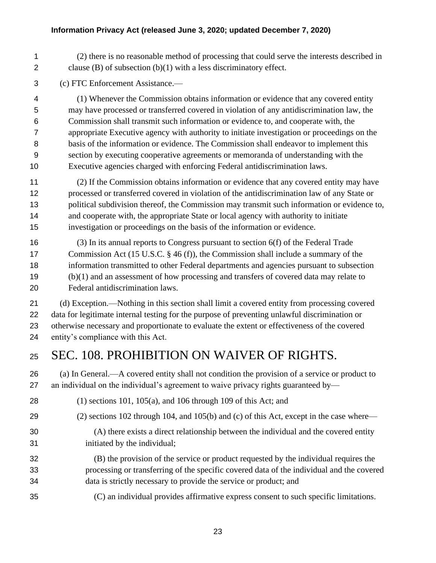(2) there is no reasonable method of processing that could serve the interests described in clause (B) of subsection (b)(1) with a less discriminatory effect.

(c) FTC Enforcement Assistance.—

 (1) Whenever the Commission obtains information or evidence that any covered entity may have processed or transferred covered in violation of any antidiscrimination law, the Commission shall transmit such information or evidence to, and cooperate with, the appropriate Executive agency with authority to initiate investigation or proceedings on the basis of the information or evidence. The Commission shall endeavor to implement this section by executing cooperative agreements or memoranda of understanding with the Executive agencies charged with enforcing Federal antidiscrimination laws.

 (2) If the Commission obtains information or evidence that any covered entity may have processed or transferred covered in violation of the antidiscrimination law of any State or political subdivision thereof, the Commission may transmit such information or evidence to, and cooperate with, the appropriate State or local agency with authority to initiate investigation or proceedings on the basis of the information or evidence.

 (3) In its annual reports to Congress pursuant to section 6(f) of the Federal Trade 17 Commission Act (15 U.S.C. § 46 (f)), the Commission shall include a summary of the information transmitted to other Federal departments and agencies pursuant to subsection (b)(1) and an assessment of how processing and transfers of covered data may relate to Federal antidiscrimination laws.

 (d) Exception.—Nothing in this section shall limit a covered entity from processing covered data for legitimate internal testing for the purpose of preventing unlawful discrimination or otherwise necessary and proportionate to evaluate the extent or effectiveness of the covered entity's compliance with this Act.

# SEC. 108. PROHIBITION ON WAIVER OF RIGHTS.

 (a) In General.—A covered entity shall not condition the provision of a service or product to an individual on the individual's agreement to waive privacy rights guaranteed by—

- (1) sections 101, 105(a), and 106 through 109 of this Act; and
- (2) sections 102 through 104, and 105(b) and (c) of this Act, except in the case where—
- 

(A) there exists a direct relationship between the individual and the covered entity

- initiated by the individual;
- (B) the provision of the service or product requested by the individual requires the processing or transferring of the specific covered data of the individual and the covered data is strictly necessary to provide the service or product; and
- (C) an individual provides affirmative express consent to such specific limitations.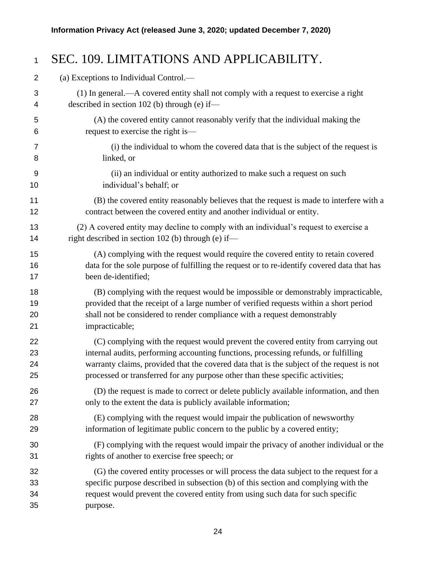### SEC. 109. LIMITATIONS AND APPLICABILITY. (a) Exceptions to Individual Control.— (1) In general.—A covered entity shall not comply with a request to exercise a right described in section 102 (b) through (e) if— (A) the covered entity cannot reasonably verify that the individual making the request to exercise the right is— (i) the individual to whom the covered data that is the subject of the request is linked, or (ii) an individual or entity authorized to make such a request on such individual's behalf; or (B) the covered entity reasonably believes that the request is made to interfere with a contract between the covered entity and another individual or entity. (2) A covered entity may decline to comply with an individual's request to exercise a 14 right described in section 102 (b) through (e) if— (A) complying with the request would require the covered entity to retain covered data for the sole purpose of fulfilling the request or to re-identify covered data that has been de-identified; (B) complying with the request would be impossible or demonstrably impracticable, provided that the receipt of a large number of verified requests within a short period shall not be considered to render compliance with a request demonstrably impracticable; (C) complying with the request would prevent the covered entity from carrying out internal audits, performing accounting functions, processing refunds, or fulfilling warranty claims, provided that the covered data that is the subject of the request is not processed or transferred for any purpose other than these specific activities; (D) the request is made to correct or delete publicly available information, and then only to the extent the data is publicly available information; (E) complying with the request would impair the publication of newsworthy information of legitimate public concern to the public by a covered entity; (F) complying with the request would impair the privacy of another individual or the rights of another to exercise free speech; or (G) the covered entity processes or will process the data subject to the request for a specific purpose described in subsection (b) of this section and complying with the

 request would prevent the covered entity from using such data for such specific purpose.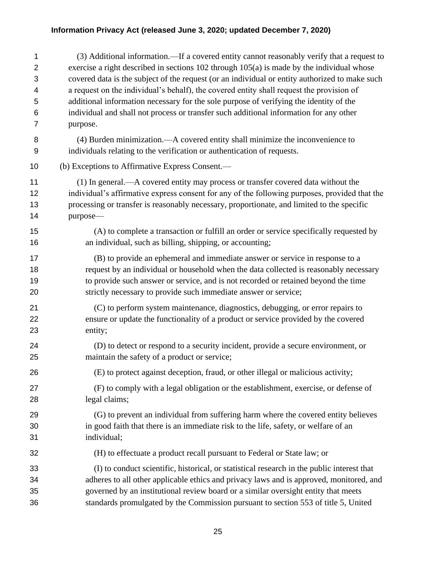(3) Additional information.—If a covered entity cannot reasonably verify that a request to exercise a right described in sections 102 through 105(a) is made by the individual whose covered data is the subject of the request (or an individual or entity authorized to make such a request on the individual's behalf), the covered entity shall request the provision of additional information necessary for the sole purpose of verifying the identity of the individual and shall not process or transfer such additional information for any other purpose.

 (4) Burden minimization.—A covered entity shall minimize the inconvenience to individuals relating to the verification or authentication of requests.

(b) Exceptions to Affirmative Express Consent.—

 (1) In general.—A covered entity may process or transfer covered data without the individual's affirmative express consent for any of the following purposes, provided that the processing or transfer is reasonably necessary, proportionate, and limited to the specific purpose—

 (A) to complete a transaction or fulfill an order or service specifically requested by an individual, such as billing, shipping, or accounting;

 (B) to provide an ephemeral and immediate answer or service in response to a request by an individual or household when the data collected is reasonably necessary to provide such answer or service, and is not recorded or retained beyond the time strictly necessary to provide such immediate answer or service;

 (C) to perform system maintenance, diagnostics, debugging, or error repairs to ensure or update the functionality of a product or service provided by the covered entity;

 (D) to detect or respond to a security incident, provide a secure environment, or maintain the safety of a product or service;

(E) to protect against deception, fraud, or other illegal or malicious activity;

 (F) to comply with a legal obligation or the establishment, exercise, or defense of legal claims;

 (G) to prevent an individual from suffering harm where the covered entity believes in good faith that there is an immediate risk to the life, safety, or welfare of an individual;

(H) to effectuate a product recall pursuant to Federal or State law; or

 (I) to conduct scientific, historical, or statistical research in the public interest that adheres to all other applicable ethics and privacy laws and is approved, monitored, and governed by an institutional review board or a similar oversight entity that meets standards promulgated by the Commission pursuant to section 553 of title 5, United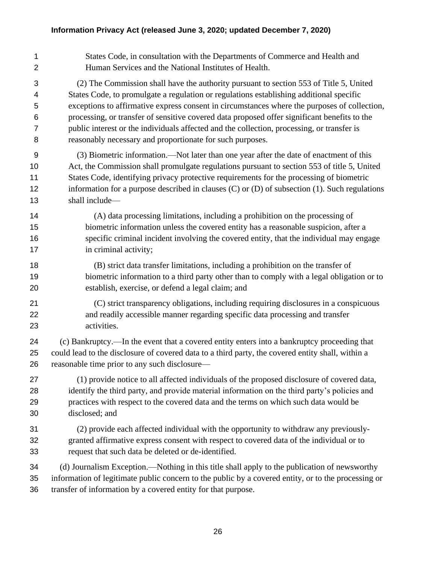States Code, in consultation with the Departments of Commerce and Health and Human Services and the National Institutes of Health. (2) The Commission shall have the authority pursuant to section 553 of Title 5, United States Code, to promulgate a regulation or regulations establishing additional specific exceptions to affirmative express consent in circumstances where the purposes of collection, processing, or transfer of sensitive covered data proposed offer significant benefits to the public interest or the individuals affected and the collection, processing, or transfer is reasonably necessary and proportionate for such purposes. (3) Biometric information.—Not later than one year after the date of enactment of this Act, the Commission shall promulgate regulations pursuant to section 553 of title 5, United States Code, identifying privacy protective requirements for the processing of biometric information for a purpose described in clauses (C) or (D) of subsection (1). Such regulations shall include— (A) data processing limitations, including a prohibition on the processing of biometric information unless the covered entity has a reasonable suspicion, after a specific criminal incident involving the covered entity, that the individual may engage 17 in criminal activity; (B) strict data transfer limitations, including a prohibition on the transfer of biometric information to a third party other than to comply with a legal obligation or to establish, exercise, or defend a legal claim; and (C) strict transparency obligations, including requiring disclosures in a conspicuous and readily accessible manner regarding specific data processing and transfer activities. (c) Bankruptcy.—In the event that a covered entity enters into a bankruptcy proceeding that could lead to the disclosure of covered data to a third party, the covered entity shall, within a reasonable time prior to any such disclosure— (1) provide notice to all affected individuals of the proposed disclosure of covered data, identify the third party, and provide material information on the third party's policies and practices with respect to the covered data and the terms on which such data would be disclosed; and (2) provide each affected individual with the opportunity to withdraw any previously- granted affirmative express consent with respect to covered data of the individual or to request that such data be deleted or de-identified. (d) Journalism Exception.—Nothing in this title shall apply to the publication of newsworthy information of legitimate public concern to the public by a covered entity, or to the processing or transfer of information by a covered entity for that purpose.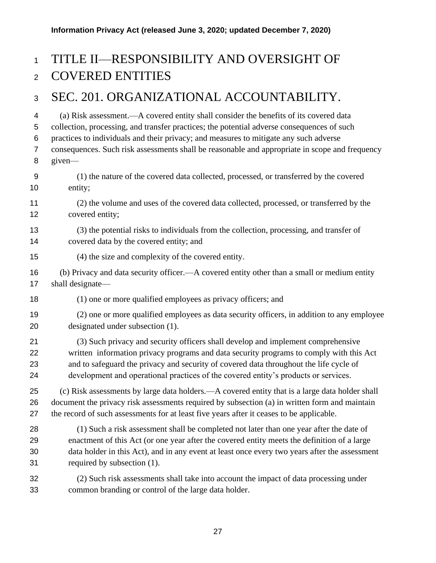# TITLE II—RESPONSIBILITY AND OVERSIGHT OF COVERED ENTITIES

### SEC. 201. ORGANIZATIONAL ACCOUNTABILITY.

 (a) Risk assessment.—A covered entity shall consider the benefits of its covered data collection, processing, and transfer practices; the potential adverse consequences of such practices to individuals and their privacy; and measures to mitigate any such adverse consequences. Such risk assessments shall be reasonable and appropriate in scope and frequency given— (1) the nature of the covered data collected, processed, or transferred by the covered entity; (2) the volume and uses of the covered data collected, processed, or transferred by the covered entity; (3) the potential risks to individuals from the collection, processing, and transfer of covered data by the covered entity; and (4) the size and complexity of the covered entity. (b) Privacy and data security officer.—A covered entity other than a small or medium entity shall designate— 18 (1) one or more qualified employees as privacy officers; and (2) one or more qualified employees as data security officers, in addition to any employee designated under subsection (1). (3) Such privacy and security officers shall develop and implement comprehensive written information privacy programs and data security programs to comply with this Act and to safeguard the privacy and security of covered data throughout the life cycle of development and operational practices of the covered entity's products or services. (c) Risk assessments by large data holders.—A covered entity that is a large data holder shall document the privacy risk assessments required by subsection (a) in written form and maintain the record of such assessments for at least five years after it ceases to be applicable. (1) Such a risk assessment shall be completed not later than one year after the date of enactment of this Act (or one year after the covered entity meets the definition of a large data holder in this Act), and in any event at least once every two years after the assessment required by subsection (1). (2) Such risk assessments shall take into account the impact of data processing under common branding or control of the large data holder.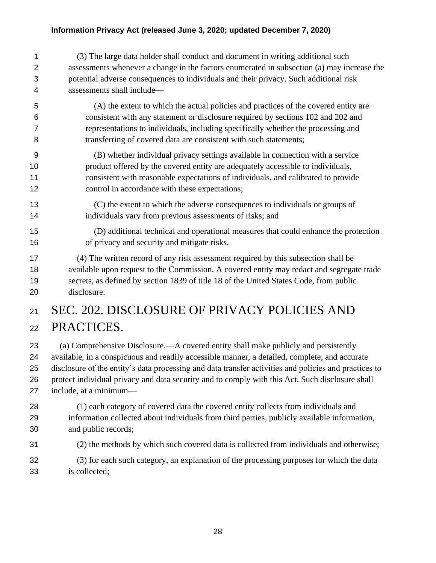(3) The large data holder shall conduct and document in writing additional such assessments whenever a change in the factors enumerated in subsection (a) may increase the potential adverse consequences to individuals and their privacy. Such additional risk assessments shall include—

- (A) the extent to which the actual policies and practices of the covered entity are consistent with any statement or disclosure required by sections 102 and 202 and representations to individuals, including specifically whether the processing and transferring of covered data are consistent with such statements;
- (B) whether individual privacy settings available in connection with a service product offered by the covered entity are adequately accessible to individuals, consistent with reasonable expectations of individuals, and calibrated to provide 12 control in accordance with these expectations;
- (C) the extent to which the adverse consequences to individuals or groups of individuals vary from previous assessments of risks; and
- (D) additional technical and operational measures that could enhance the protection of privacy and security and mitigate risks.

 (4) The written record of any risk assessment required by this subsection shall be available upon request to the Commission. A covered entity may redact and segregate trade secrets, as defined by section 1839 of title 18 of the United States Code, from public disclosure.

# SEC. 202. DISCLOSURE OF PRIVACY POLICIES AND PRACTICES.

 (a) Comprehensive Disclosure.—A covered entity shall make publicly and persistently available, in a conspicuous and readily accessible manner, a detailed, complete, and accurate disclosure of the entity's data processing and data transfer activities and policies and practices to protect individual privacy and data security and to comply with this Act. Such disclosure shall include, at a minimum—

- (1) each category of covered data the covered entity collects from individuals and information collected about individuals from third parties, publicly available information, and public records;
- (2) the methods by which such covered data is collected from individuals and otherwise;
- (3) for each such category, an explanation of the processing purposes for which the data is collected;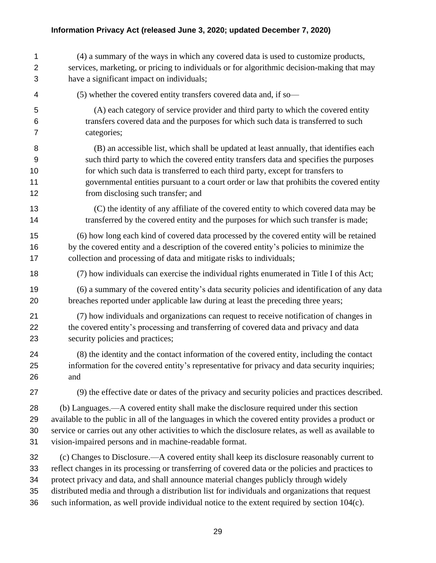| 1              | (4) a summary of the ways in which any covered data is used to customize products,                   |
|----------------|------------------------------------------------------------------------------------------------------|
| $\overline{2}$ | services, marketing, or pricing to individuals or for algorithmic decision-making that may           |
| 3              | have a significant impact on individuals;                                                            |
| 4              | (5) whether the covered entity transfers covered data and, if so-                                    |
| 5              | (A) each category of service provider and third party to which the covered entity                    |
| 6              | transfers covered data and the purposes for which such data is transferred to such                   |
| 7              | categories;                                                                                          |
| 8              | (B) an accessible list, which shall be updated at least annually, that identifies each               |
| 9              | such third party to which the covered entity transfers data and specifies the purposes               |
| 10             | for which such data is transferred to each third party, except for transfers to                      |
| 11             | governmental entities pursuant to a court order or law that prohibits the covered entity             |
| 12             | from disclosing such transfer; and                                                                   |
| 13             | (C) the identity of any affiliate of the covered entity to which covered data may be                 |
| 14             | transferred by the covered entity and the purposes for which such transfer is made;                  |
| 15             | (6) how long each kind of covered data processed by the covered entity will be retained              |
| 16             | by the covered entity and a description of the covered entity's policies to minimize the             |
| 17             | collection and processing of data and mitigate risks to individuals;                                 |
| 18             | (7) how individuals can exercise the individual rights enumerated in Title I of this Act;            |
| 19             | (6) a summary of the covered entity's data security policies and identification of any data          |
| 20             | breaches reported under applicable law during at least the preceding three years;                    |
| 21             | (7) how individuals and organizations can request to receive notification of changes in              |
| 22             | the covered entity's processing and transferring of covered data and privacy and data                |
| 23             | security policies and practices;                                                                     |
| 24             | (8) the identity and the contact information of the covered entity, including the contact            |
| 25             | information for the covered entity's representative for privacy and data security inquiries;         |
| 26             | and                                                                                                  |
| 27             | (9) the effective date or dates of the privacy and security policies and practices described.        |
| 28             | (b) Languages.—A covered entity shall make the disclosure required under this section                |
| 29             | available to the public in all of the languages in which the covered entity provides a product or    |
| 30             | service or carries out any other activities to which the disclosure relates, as well as available to |
| 31             | vision-impaired persons and in machine-readable format.                                              |
| 32             | (c) Changes to Disclosure.—A covered entity shall keep its disclosure reasonably current to          |
| 33             | reflect changes in its processing or transferring of covered data or the policies and practices to   |
| 34             | protect privacy and data, and shall announce material changes publicly through widely                |
| 35             | distributed media and through a distribution list for individuals and organizations that request     |
| 36             | such information, as well provide individual notice to the extent required by section 104(c).        |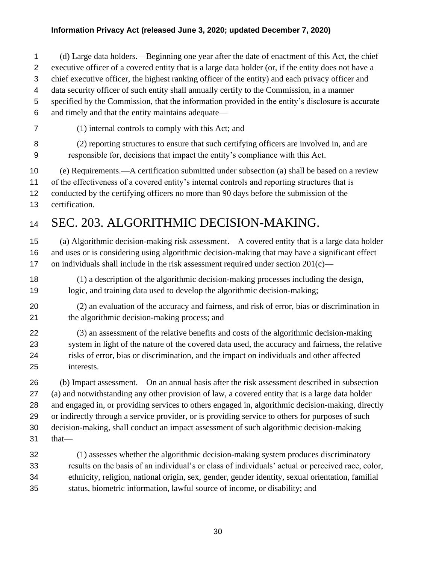(d) Large data holders.—Beginning one year after the date of enactment of this Act, the chief

executive officer of a covered entity that is a large data holder (or, if the entity does not have a

chief executive officer, the highest ranking officer of the entity) and each privacy officer and

- data security officer of such entity shall annually certify to the Commission, in a manner
- specified by the Commission, that the information provided in the entity's disclosure is accurate
- and timely and that the entity maintains adequate—
- (1) internal controls to comply with this Act; and (2) reporting structures to ensure that such certifying officers are involved in, and are
- responsible for, decisions that impact the entity's compliance with this Act.

(e) Requirements.—A certification submitted under subsection (a) shall be based on a review

of the effectiveness of a covered entity's internal controls and reporting structures that is

conducted by the certifying officers no more than 90 days before the submission of the

certification.

# SEC. 203. ALGORITHMIC DECISION-MAKING.

 (a) Algorithmic decision-making risk assessment.—A covered entity that is a large data holder and uses or is considering using algorithmic decision-making that may have a significant effect 17 on individuals shall include in the risk assessment required under section  $201(c)$ —

- (1) a description of the algorithmic decision-making processes including the design, logic, and training data used to develop the algorithmic decision-making;
- (2) an evaluation of the accuracy and fairness, and risk of error, bias or discrimination in the algorithmic decision-making process; and

 (3) an assessment of the relative benefits and costs of the algorithmic decision-making system in light of the nature of the covered data used, the accuracy and fairness, the relative risks of error, bias or discrimination, and the impact on individuals and other affected interests.

 (b) Impact assessment.—On an annual basis after the risk assessment described in subsection (a) and notwithstanding any other provision of law, a covered entity that is a large data holder and engaged in, or providing services to others engaged in, algorithmic decision-making, directly or indirectly through a service provider, or is providing service to others for purposes of such decision-making, shall conduct an impact assessment of such algorithmic decision-making that—

 (1) assesses whether the algorithmic decision-making system produces discriminatory results on the basis of an individual's or class of individuals' actual or perceived race, color, ethnicity, religion, national origin, sex, gender, gender identity, sexual orientation, familial status, biometric information, lawful source of income, or disability; and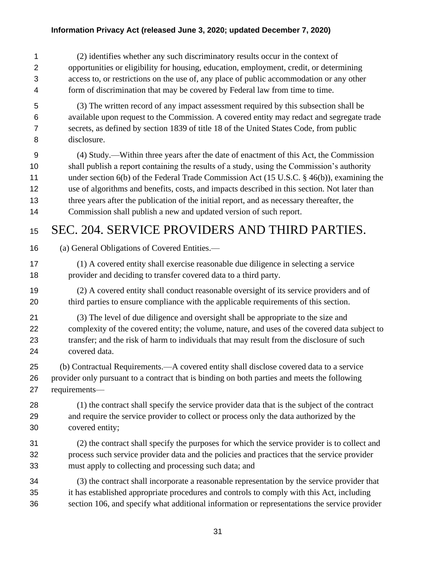(2) identifies whether any such discriminatory results occur in the context of opportunities or eligibility for housing, education, employment, credit, or determining access to, or restrictions on the use of, any place of public accommodation or any other form of discrimination that may be covered by Federal law from time to time.

- (3) The written record of any impact assessment required by this subsection shall be available upon request to the Commission. A covered entity may redact and segregate trade secrets, as defined by section 1839 of title 18 of the United States Code, from public disclosure.
- (4) Study.—Within three years after the date of enactment of this Act, the Commission shall publish a report containing the results of a study, using the Commission's authority 11 under section 6(b) of the Federal Trade Commission Act (15 U.S.C. § 46(b)), examining the use of algorithms and benefits, costs, and impacts described in this section. Not later than three years after the publication of the initial report, and as necessary thereafter, the Commission shall publish a new and updated version of such report.

### 15 SEC. 204. SERVICE PROVIDERS AND THIRD PARTIES.

- (a) General Obligations of Covered Entities.—
- (1) A covered entity shall exercise reasonable due diligence in selecting a service provider and deciding to transfer covered data to a third party.
- (2) A covered entity shall conduct reasonable oversight of its service providers and of third parties to ensure compliance with the applicable requirements of this section.
- (3) The level of due diligence and oversight shall be appropriate to the size and complexity of the covered entity; the volume, nature, and uses of the covered data subject to transfer; and the risk of harm to individuals that may result from the disclosure of such covered data.
- (b) Contractual Requirements.—A covered entity shall disclose covered data to a service provider only pursuant to a contract that is binding on both parties and meets the following requirements—
- (1) the contract shall specify the service provider data that is the subject of the contract and require the service provider to collect or process only the data authorized by the covered entity;
- (2) the contract shall specify the purposes for which the service provider is to collect and process such service provider data and the policies and practices that the service provider must apply to collecting and processing such data; and
- (3) the contract shall incorporate a reasonable representation by the service provider that it has established appropriate procedures and controls to comply with this Act, including section 106, and specify what additional information or representations the service provider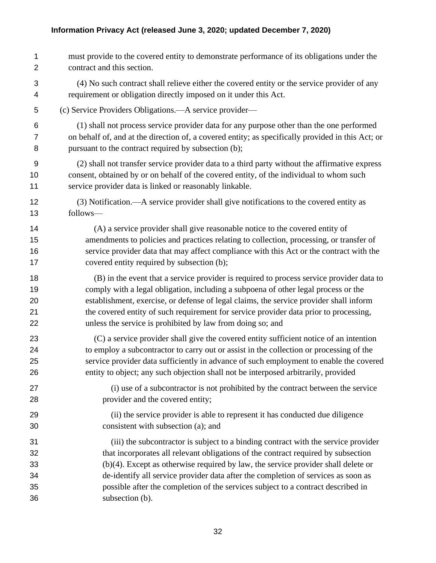must provide to the covered entity to demonstrate performance of its obligations under the contract and this section. (4) No such contract shall relieve either the covered entity or the service provider of any requirement or obligation directly imposed on it under this Act. (c) Service Providers Obligations.—A service provider— (1) shall not process service provider data for any purpose other than the one performed on behalf of, and at the direction of, a covered entity; as specifically provided in this Act; or pursuant to the contract required by subsection (b); (2) shall not transfer service provider data to a third party without the affirmative express consent, obtained by or on behalf of the covered entity, of the individual to whom such service provider data is linked or reasonably linkable. (3) Notification.—A service provider shall give notifications to the covered entity as follows— (A) a service provider shall give reasonable notice to the covered entity of amendments to policies and practices relating to collection, processing, or transfer of service provider data that may affect compliance with this Act or the contract with the covered entity required by subsection (b); (B) in the event that a service provider is required to process service provider data to comply with a legal obligation, including a subpoena of other legal process or the establishment, exercise, or defense of legal claims, the service provider shall inform the covered entity of such requirement for service provider data prior to processing, unless the service is prohibited by law from doing so; and (C) a service provider shall give the covered entity sufficient notice of an intention to employ a subcontractor to carry out or assist in the collection or processing of the service provider data sufficiently in advance of such employment to enable the covered entity to object; any such objection shall not be interposed arbitrarily, provided (i) use of a subcontractor is not prohibited by the contract between the service provider and the covered entity; (ii) the service provider is able to represent it has conducted due diligence consistent with subsection (a); and (iii) the subcontractor is subject to a binding contract with the service provider that incorporates all relevant obligations of the contract required by subsection (b)(4). Except as otherwise required by law, the service provider shall delete or de-identify all service provider data after the completion of services as soon as possible after the completion of the services subject to a contract described in subsection (b).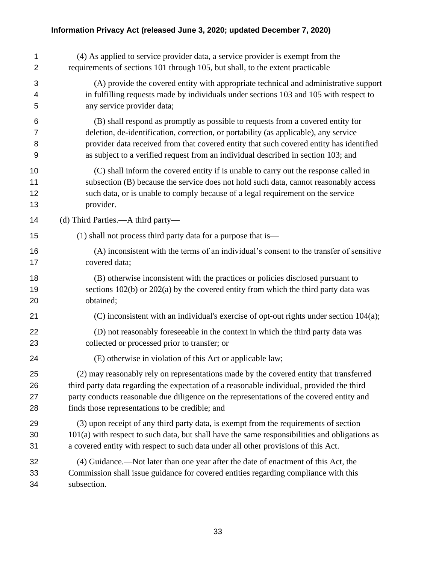| 1  | (4) As applied to service provider data, a service provider is exempt from the                |
|----|-----------------------------------------------------------------------------------------------|
| 2  | requirements of sections 101 through 105, but shall, to the extent practicable—               |
| 3  | (A) provide the covered entity with appropriate technical and administrative support          |
| 4  | in fulfilling requests made by individuals under sections 103 and 105 with respect to         |
| 5  | any service provider data;                                                                    |
| 6  | (B) shall respond as promptly as possible to requests from a covered entity for               |
| 7  | deletion, de-identification, correction, or portability (as applicable), any service          |
| 8  | provider data received from that covered entity that such covered entity has identified       |
| 9  | as subject to a verified request from an individual described in section 103; and             |
| 10 | (C) shall inform the covered entity if is unable to carry out the response called in          |
| 11 | subsection (B) because the service does not hold such data, cannot reasonably access          |
| 12 | such data, or is unable to comply because of a legal requirement on the service               |
| 13 | provider.                                                                                     |
| 14 | (d) Third Parties.—A third party—                                                             |
| 15 | (1) shall not process third party data for a purpose that is—                                 |
| 16 | (A) inconsistent with the terms of an individual's consent to the transfer of sensitive       |
| 17 | covered data;                                                                                 |
| 18 | (B) otherwise inconsistent with the practices or policies disclosed pursuant to               |
| 19 | sections $102(b)$ or $202(a)$ by the covered entity from which the third party data was       |
| 20 | obtained;                                                                                     |
| 21 | (C) inconsistent with an individual's exercise of opt-out rights under section 104(a);        |
| 22 | (D) not reasonably foreseeable in the context in which the third party data was               |
| 23 | collected or processed prior to transfer; or                                                  |
| 24 | (E) otherwise in violation of this Act or applicable law;                                     |
| 25 | (2) may reasonably rely on representations made by the covered entity that transferred        |
| 26 | third party data regarding the expectation of a reasonable individual, provided the third     |
| 27 | party conducts reasonable due diligence on the representations of the covered entity and      |
| 28 | finds those representations to be credible; and                                               |
| 29 | (3) upon receipt of any third party data, is exempt from the requirements of section          |
| 30 | 101(a) with respect to such data, but shall have the same responsibilities and obligations as |
| 31 | a covered entity with respect to such data under all other provisions of this Act.            |
| 32 | (4) Guidance.—Not later than one year after the date of enactment of this Act, the            |
| 33 | Commission shall issue guidance for covered entities regarding compliance with this           |
| 34 | subsection.                                                                                   |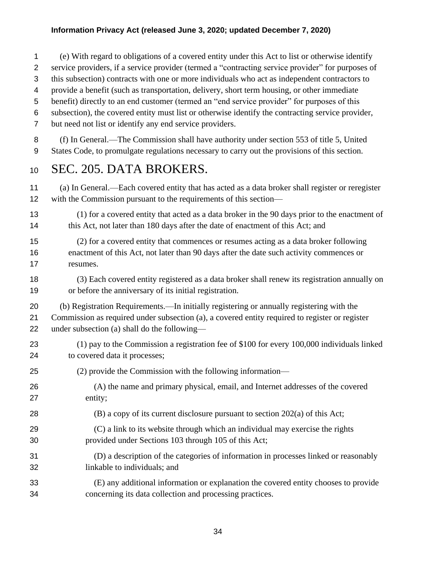(e) With regard to obligations of a covered entity under this Act to list or otherwise identify

- service providers, if a service provider (termed a "contracting service provider" for purposes of
- this subsection) contracts with one or more individuals who act as independent contractors to
- provide a benefit (such as transportation, delivery, short term housing, or other immediate
- benefit) directly to an end customer (termed an "end service provider" for purposes of this
- subsection), the covered entity must list or otherwise identify the contracting service provider,
- but need not list or identify any end service providers.

 (f) In General.—The Commission shall have authority under section 553 of title 5, United States Code, to promulgate regulations necessary to carry out the provisions of this section.

### SEC. 205. DATA BROKERS.

 (a) In General.—Each covered entity that has acted as a data broker shall register or reregister with the Commission pursuant to the requirements of this section—

- (1) for a covered entity that acted as a data broker in the 90 days prior to the enactment of 14 this Act, not later than 180 days after the date of enactment of this Act; and
- (2) for a covered entity that commences or resumes acting as a data broker following enactment of this Act, not later than 90 days after the date such activity commences or resumes.
- (3) Each covered entity registered as a data broker shall renew its registration annually on or before the anniversary of its initial registration.
- (b) Registration Requirements.—In initially registering or annually registering with the Commission as required under subsection (a), a covered entity required to register or register under subsection (a) shall do the following—
- (1) pay to the Commission a registration fee of \$100 for every 100,000 individuals linked to covered data it processes;
- (2) provide the Commission with the following information—
- (A) the name and primary physical, email, and Internet addresses of the covered entity;
- (B) a copy of its current disclosure pursuant to section 202(a) of this Act;
- (C) a link to its website through which an individual may exercise the rights provided under Sections 103 through 105 of this Act;
- (D) a description of the categories of information in processes linked or reasonably linkable to individuals; and
- (E) any additional information or explanation the covered entity chooses to provide concerning its data collection and processing practices.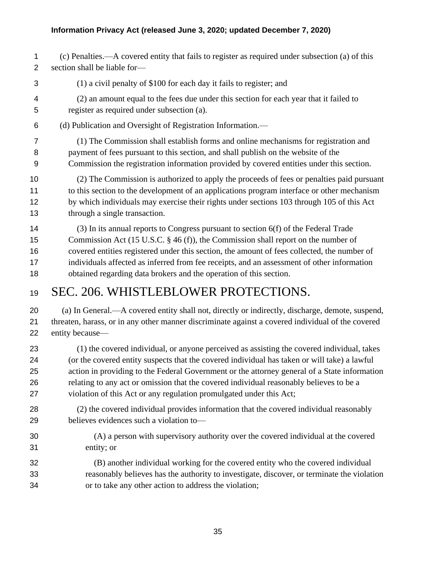- (c) Penalties.—A covered entity that fails to register as required under subsection (a) of this section shall be liable for—
- (1) a civil penalty of \$100 for each day it fails to register; and
- (2) an amount equal to the fees due under this section for each year that it failed to register as required under subsection (a).
- (d) Publication and Oversight of Registration Information.—
- (1) The Commission shall establish forms and online mechanisms for registration and payment of fees pursuant to this section, and shall publish on the website of the Commission the registration information provided by covered entities under this section.
- (2) The Commission is authorized to apply the proceeds of fees or penalties paid pursuant to this section to the development of an applications program interface or other mechanism by which individuals may exercise their rights under sections 103 through 105 of this Act through a single transaction.
- (3) In its annual reports to Congress pursuant to section 6(f) of the Federal Trade Commission Act (15 U.S.C. § 46 (f)), the Commission shall report on the number of covered entities registered under this section, the amount of fees collected, the number of individuals affected as inferred from fee receipts, and an assessment of other information obtained regarding data brokers and the operation of this section.

# SEC. 206. WHISTLEBLOWER PROTECTIONS.

 (a) In General.—A covered entity shall not, directly or indirectly, discharge, demote, suspend, threaten, harass, or in any other manner discriminate against a covered individual of the covered entity because—

- (1) the covered individual, or anyone perceived as assisting the covered individual, takes (or the covered entity suspects that the covered individual has taken or will take) a lawful action in providing to the Federal Government or the attorney general of a State information relating to any act or omission that the covered individual reasonably believes to be a violation of this Act or any regulation promulgated under this Act;
- (2) the covered individual provides information that the covered individual reasonably believes evidences such a violation to—
- (A) a person with supervisory authority over the covered individual at the covered entity; or
- (B) another individual working for the covered entity who the covered individual reasonably believes has the authority to investigate, discover, or terminate the violation or to take any other action to address the violation;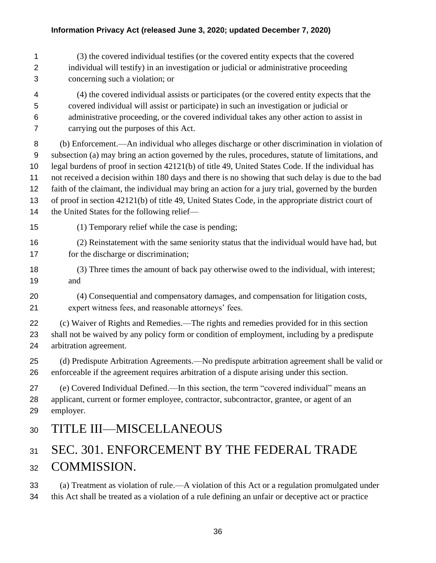|                       | (3) the covered individual testifies (or the covered entity expects that the covered  |
|-----------------------|---------------------------------------------------------------------------------------|
| $\mathbf{2}^{\prime}$ | individual will testify) in an investigation or judicial or administrative proceeding |
| 3                     | concerning such a violation; or                                                       |

 (4) the covered individual assists or participates (or the covered entity expects that the covered individual will assist or participate) in such an investigation or judicial or administrative proceeding, or the covered individual takes any other action to assist in carrying out the purposes of this Act.

 (b) Enforcement.—An individual who alleges discharge or other discrimination in violation of subsection (a) may bring an action governed by the rules, procedures, statute of limitations, and legal burdens of proof in section 42121(b) of title 49, United States Code. If the individual has not received a decision within 180 days and there is no showing that such delay is due to the bad faith of the claimant, the individual may bring an action for a jury trial, governed by the burden of proof in section 42121(b) of title 49, United States Code, in the appropriate district court of 14 the United States for the following relief—

- (1) Temporary relief while the case is pending;
- (2) Reinstatement with the same seniority status that the individual would have had, but 17 for the discharge or discrimination;
- (3) Three times the amount of back pay otherwise owed to the individual, with interest; and
- (4) Consequential and compensatory damages, and compensation for litigation costs, expert witness fees, and reasonable attorneys' fees.

 (c) Waiver of Rights and Remedies.—The rights and remedies provided for in this section shall not be waived by any policy form or condition of employment, including by a predispute arbitration agreement.

 (d) Predispute Arbitration Agreements.—No predispute arbitration agreement shall be valid or enforceable if the agreement requires arbitration of a dispute arising under this section.

 (e) Covered Individual Defined.—In this section, the term "covered individual" means an applicant, current or former employee, contractor, subcontractor, grantee, or agent of an employer.

### TITLE III—MISCELLANEOUS

# 31 SEC. 301. ENFORCEMENT BY THE FEDERAL TRADE COMMISSION.

 (a) Treatment as violation of rule.—A violation of this Act or a regulation promulgated under this Act shall be treated as a violation of a rule defining an unfair or deceptive act or practice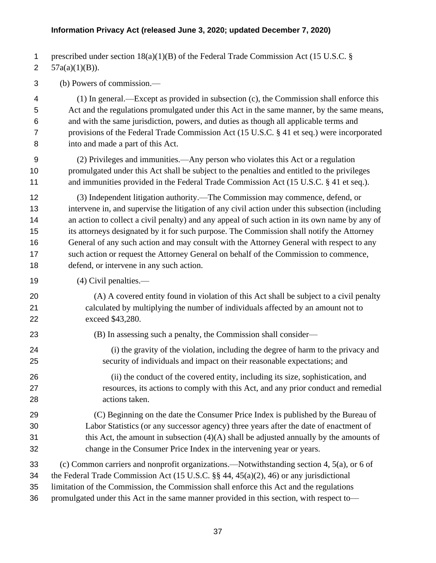prescribed under section 18(a)(1)(B) of the Federal Trade Commission Act (15 U.S.C. §

2  $57a(a)(1)(B)$ ).

(b) Powers of commission.—

 (1) In general.—Except as provided in subsection (c), the Commission shall enforce this Act and the regulations promulgated under this Act in the same manner, by the same means, and with the same jurisdiction, powers, and duties as though all applicable terms and provisions of the Federal Trade Commission Act (15 U.S.C. § 41 et seq.) were incorporated into and made a part of this Act.

 (2) Privileges and immunities.—Any person who violates this Act or a regulation promulgated under this Act shall be subject to the penalties and entitled to the privileges 11 and immunities provided in the Federal Trade Commission Act (15 U.S.C. § 41 et seq.).

 (3) Independent litigation authority.—The Commission may commence, defend, or intervene in, and supervise the litigation of any civil action under this subsection (including an action to collect a civil penalty) and any appeal of such action in its own name by any of its attorneys designated by it for such purpose. The Commission shall notify the Attorney General of any such action and may consult with the Attorney General with respect to any such action or request the Attorney General on behalf of the Commission to commence, defend, or intervene in any such action.

- (4) Civil penalties.—
- (A) A covered entity found in violation of this Act shall be subject to a civil penalty calculated by multiplying the number of individuals affected by an amount not to exceed \$43,280.
- (B) In assessing such a penalty, the Commission shall consider—
- (i) the gravity of the violation, including the degree of harm to the privacy and security of individuals and impact on their reasonable expectations; and
- (ii) the conduct of the covered entity, including its size, sophistication, and resources, its actions to comply with this Act, and any prior conduct and remedial actions taken.
- (C) Beginning on the date the Consumer Price Index is published by the Bureau of Labor Statistics (or any successor agency) three years after the date of enactment of this Act, the amount in subsection  $(4)(A)$  shall be adjusted annually by the amounts of change in the Consumer Price Index in the intervening year or years.

(c) Common carriers and nonprofit organizations.—Notwithstanding section 4, 5(a), or 6 of

the Federal Trade Commission Act (15 U.S.C. §§ 44, 45(a)(2), 46) or any jurisdictional

limitation of the Commission, the Commission shall enforce this Act and the regulations

promulgated under this Act in the same manner provided in this section, with respect to—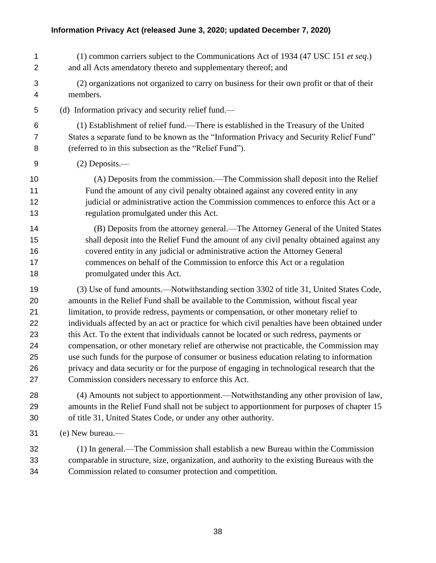(1) common carriers subject to the Communications Act of 1934 (47 USC 151 *et seq*.) and all Acts amendatory thereto and supplementary thereof; and (2) organizations not organized to carry on business for their own profit or that of their members. (d) Information privacy and security relief fund.— (1) Establishment of relief fund.—There is established in the Treasury of the United States a separate fund to be known as the "Information Privacy and Security Relief Fund" (referred to in this subsection as the "Relief Fund"). (2) Deposits.— (A) Deposits from the commission.—The Commission shall deposit into the Relief Fund the amount of any civil penalty obtained against any covered entity in any judicial or administrative action the Commission commences to enforce this Act or a regulation promulgated under this Act. (B) Deposits from the attorney general.—The Attorney General of the United States shall deposit into the Relief Fund the amount of any civil penalty obtained against any covered entity in any judicial or administrative action the Attorney General commences on behalf of the Commission to enforce this Act or a regulation promulgated under this Act. (3) Use of fund amounts.—Notwithstanding section 3302 of title 31, United States Code, amounts in the Relief Fund shall be available to the Commission, without fiscal year limitation, to provide redress, payments or compensation, or other monetary relief to individuals affected by an act or practice for which civil penalties have been obtained under this Act. To the extent that individuals cannot be located or such redress, payments or compensation, or other monetary relief are otherwise not practicable, the Commission may use such funds for the purpose of consumer or business education relating to information privacy and data security or for the purpose of engaging in technological research that the Commission considers necessary to enforce this Act. (4) Amounts not subject to apportionment.—Notwithstanding any other provision of law, amounts in the Relief Fund shall not be subject to apportionment for purposes of chapter 15 of title 31, United States Code, or under any other authority. (e) New bureau.— (1) In general.—The Commission shall establish a new Bureau within the Commission comparable in structure, size, organization, and authority to the existing Bureaus with the Commission related to consumer protection and competition.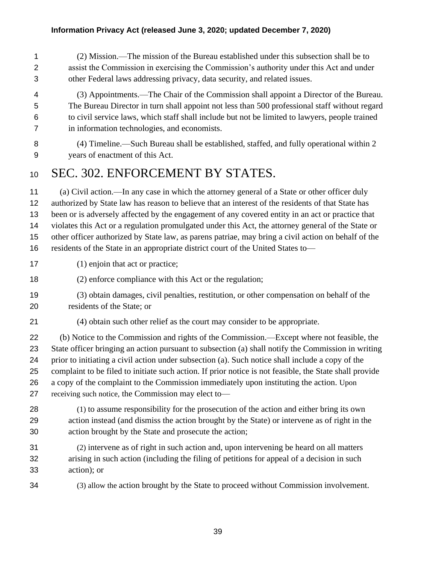(2) Mission.—The mission of the Bureau established under this subsection shall be to assist the Commission in exercising the Commission's authority under this Act and under other Federal laws addressing privacy, data security, and related issues.

 (3) Appointments.—The Chair of the Commission shall appoint a Director of the Bureau. The Bureau Director in turn shall appoint not less than 500 professional staff without regard to civil service laws, which staff shall include but not be limited to lawyers, people trained in information technologies, and economists.

 (4) Timeline.—Such Bureau shall be established, staffed, and fully operational within 2 years of enactment of this Act.

### 10 SEC. 302. ENFORCEMENT BY STATES.

 (a) Civil action.—In any case in which the attorney general of a State or other officer duly authorized by State law has reason to believe that an interest of the residents of that State has been or is adversely affected by the engagement of any covered entity in an act or practice that violates this Act or a regulation promulgated under this Act, the attorney general of the State or other officer authorized by State law, as parens patriae, may bring a civil action on behalf of the residents of the State in an appropriate district court of the United States to—

- 17 (1) enjoin that act or practice;
- (2) enforce compliance with this Act or the regulation;
- (3) obtain damages, civil penalties, restitution, or other compensation on behalf of the residents of the State; or
- (4) obtain such other relief as the court may consider to be appropriate.

 (b) Notice to the Commission and rights of the Commission.—Except where not feasible, the State officer bringing an action pursuant to subsection (a) shall notify the Commission in writing prior to initiating a civil action under subsection (a). Such notice shall include a copy of the complaint to be filed to initiate such action. If prior notice is not feasible, the State shall provide a copy of the complaint to the Commission immediately upon instituting the action. Upon receiving such notice, the Commission may elect to—

- (1) to assume responsibility for the prosecution of the action and either bring its own action instead (and dismiss the action brought by the State) or intervene as of right in the action brought by the State and prosecute the action;
- (2) intervene as of right in such action and, upon intervening be heard on all matters arising in such action (including the filing of petitions for appeal of a decision in such action); or
- 

(3) allow the action brought by the State to proceed without Commission involvement.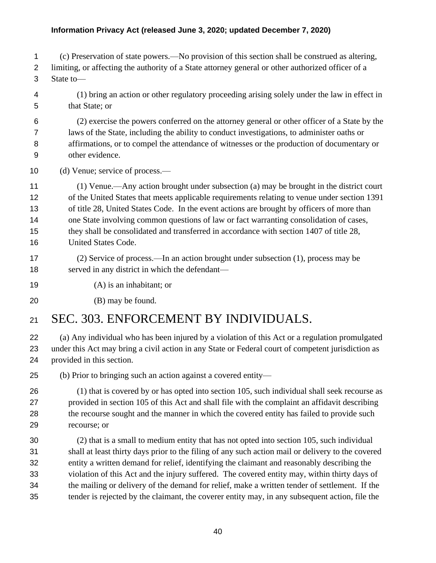(c) Preservation of state powers.—No provision of this section shall be construed as altering,

 limiting, or affecting the authority of a State attorney general or other authorized officer of a State to—

 (1) bring an action or other regulatory proceeding arising solely under the law in effect in that State; or

 (2) exercise the powers conferred on the attorney general or other officer of a State by the laws of the State, including the ability to conduct investigations, to administer oaths or affirmations, or to compel the attendance of witnesses or the production of documentary or other evidence.

(d) Venue; service of process.—

 (1) Venue.—Any action brought under subsection (a) may be brought in the district court of the United States that meets applicable requirements relating to venue under section 1391 of title 28, United States Code. In the event actions are brought by officers of more than one State involving common questions of law or fact warranting consolidation of cases, they shall be consolidated and transferred in accordance with section 1407 of title 28, United States Code.

- (2) Service of process.—In an action brought under subsection (1), process may be 18 served in any district in which the defendant—
- (A) is an inhabitant; or
- (B) may be found.

# SEC. 303. ENFORCEMENT BY INDIVIDUALS.

 (a) Any individual who has been injured by a violation of this Act or a regulation promulgated under this Act may bring a civil action in any State or Federal court of competent jurisdiction as provided in this section.

(b) Prior to bringing such an action against a covered entity—

 (1) that is covered by or has opted into section 105, such individual shall seek recourse as provided in section 105 of this Act and shall file with the complaint an affidavit describing 28 the recourse sought and the manner in which the covered entity has failed to provide such recourse; or

 (2) that is a small to medium entity that has not opted into section 105, such individual shall at least thirty days prior to the filing of any such action mail or delivery to the covered entity a written demand for relief, identifying the claimant and reasonably describing the violation of this Act and the injury suffered. The covered entity may, within thirty days of the mailing or delivery of the demand for relief, make a written tender of settlement. If the tender is rejected by the claimant, the coverer entity may, in any subsequent action, file the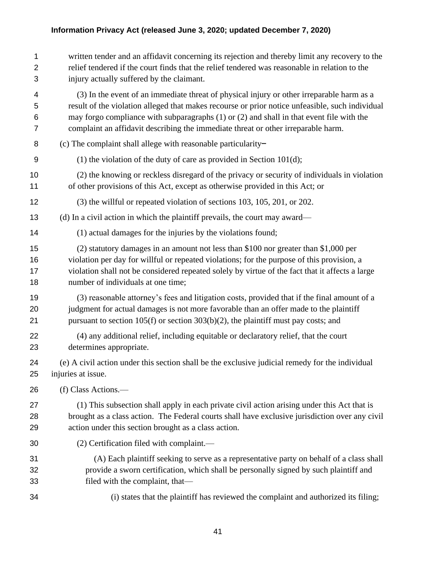| 1              | written tender and an affidavit concerning its rejection and thereby limit any recovery to the  |
|----------------|-------------------------------------------------------------------------------------------------|
| $\overline{2}$ | relief tendered if the court finds that the relief tendered was reasonable in relation to the   |
| 3              | injury actually suffered by the claimant.                                                       |
| 4              | (3) In the event of an immediate threat of physical injury or other irreparable harm as a       |
| 5              | result of the violation alleged that makes recourse or prior notice unfeasible, such individual |
| 6              | may forgo compliance with subparagraphs $(1)$ or $(2)$ and shall in that event file with the    |
| $\overline{7}$ | complaint an affidavit describing the immediate threat or other irreparable harm.               |
| 8              | (c) The complaint shall allege with reasonable particularity-                                   |
| 9              | (1) the violation of the duty of care as provided in Section $101(d)$ ;                         |
| 10             | (2) the knowing or reckless disregard of the privacy or security of individuals in violation    |
| 11             | of other provisions of this Act, except as otherwise provided in this Act; or                   |
| 12             | (3) the willful or repeated violation of sections 103, 105, 201, or 202.                        |
| 13             | (d) In a civil action in which the plaintiff prevails, the court may award—                     |
| 14             | (1) actual damages for the injuries by the violations found;                                    |
| 15             | (2) statutory damages in an amount not less than \$100 nor greater than \$1,000 per             |
| 16             | violation per day for willful or repeated violations; for the purpose of this provision, a      |
| 17             | violation shall not be considered repeated solely by virtue of the fact that it affects a large |
| 18             | number of individuals at one time;                                                              |
| 19             | (3) reasonable attorney's fees and litigation costs, provided that if the final amount of a     |
| 20             | judgment for actual damages is not more favorable than an offer made to the plaintiff           |
| 21             | pursuant to section $105(f)$ or section $303(b)(2)$ , the plaintiff must pay costs; and         |
| 22             | (4) any additional relief, including equitable or declaratory relief, that the court            |
| 23             | determines appropriate.                                                                         |
| 24             | (e) A civil action under this section shall be the exclusive judicial remedy for the individual |
| 25             | injuries at issue.                                                                              |
| 26             | (f) Class Actions.—                                                                             |
| 27             | (1) This subsection shall apply in each private civil action arising under this Act that is     |
| 28             | brought as a class action. The Federal courts shall have exclusive jurisdiction over any civil  |
| 29             | action under this section brought as a class action.                                            |
| 30             | (2) Certification filed with complaint.—                                                        |
| 31             | (A) Each plaintiff seeking to serve as a representative party on behalf of a class shall        |
| 32             | provide a sworn certification, which shall be personally signed by such plaintiff and           |
| 33             | filed with the complaint, that-                                                                 |
| 34             | (i) states that the plaintiff has reviewed the complaint and authorized its filing;             |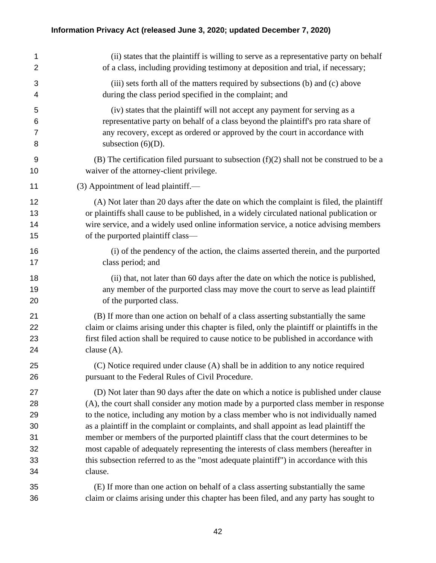| 1              | (ii) states that the plaintiff is willing to serve as a representative party on behalf       |
|----------------|----------------------------------------------------------------------------------------------|
| $\overline{2}$ | of a class, including providing testimony at deposition and trial, if necessary;             |
| 3              | (iii) sets forth all of the matters required by subsections (b) and (c) above                |
| 4              | during the class period specified in the complaint; and                                      |
| 5              | (iv) states that the plaintiff will not accept any payment for serving as a                  |
| 6              | representative party on behalf of a class beyond the plaintiff's pro rata share of           |
| $\overline{7}$ | any recovery, except as ordered or approved by the court in accordance with                  |
| 8              | subsection $(6)(D)$ .                                                                        |
| 9              | (B) The certification filed pursuant to subsection $(f)(2)$ shall not be construed to be a   |
| 10             | waiver of the attorney-client privilege.                                                     |
| 11             | (3) Appointment of lead plaintiff.—                                                          |
| 12             | (A) Not later than 20 days after the date on which the complaint is filed, the plaintiff     |
| 13             | or plaintiffs shall cause to be published, in a widely circulated national publication or    |
| 14             | wire service, and a widely used online information service, a notice advising members        |
| 15             | of the purported plaintiff class—                                                            |
| 16             | (i) of the pendency of the action, the claims asserted therein, and the purported            |
| 17             | class period; and                                                                            |
| 18             | (ii) that, not later than 60 days after the date on which the notice is published,           |
| 19             | any member of the purported class may move the court to serve as lead plaintiff              |
| 20             | of the purported class.                                                                      |
| 21             | (B) If more than one action on behalf of a class asserting substantially the same            |
| 22             | claim or claims arising under this chapter is filed, only the plaintiff or plaintiffs in the |
| 23             | first filed action shall be required to cause notice to be published in accordance with      |
| 24             | clause $(A)$ .                                                                               |
| 25             | (C) Notice required under clause (A) shall be in addition to any notice required             |
| 26             | pursuant to the Federal Rules of Civil Procedure.                                            |
| 27             | (D) Not later than 90 days after the date on which a notice is published under clause        |
| 28             | (A), the court shall consider any motion made by a purported class member in response        |
| 29             | to the notice, including any motion by a class member who is not individually named          |
| 30             | as a plaintiff in the complaint or complaints, and shall appoint as lead plaintiff the       |
| 31             | member or members of the purported plaintiff class that the court determines to be           |
| 32             | most capable of adequately representing the interests of class members (hereafter in         |
| 33             | this subsection referred to as the "most adequate plaintiff") in accordance with this        |
| 34             | clause.                                                                                      |
| 35             | (E) If more than one action on behalf of a class asserting substantially the same            |
| 36             | claim or claims arising under this chapter has been filed, and any party has sought to       |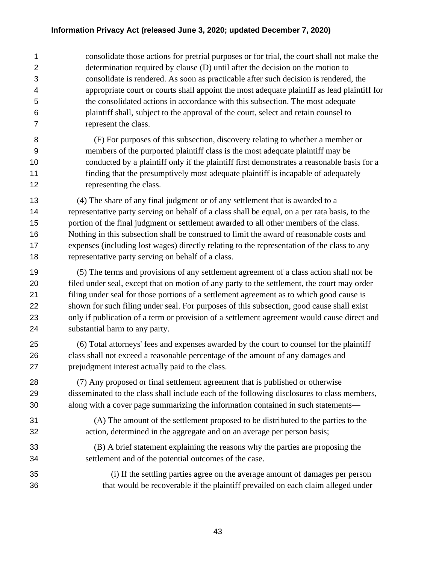consolidate those actions for pretrial purposes or for trial, the court shall not make the determination required by clause (D) until after the decision on the motion to consolidate is rendered. As soon as practicable after such decision is rendered, the appropriate court or courts shall appoint the most adequate plaintiff as lead plaintiff for the consolidated actions in accordance with this subsection. The most adequate plaintiff shall, subject to the approval of the court, select and retain counsel to represent the class.

 (F) For purposes of this subsection, discovery relating to whether a member or members of the purported plaintiff class is the most adequate plaintiff may be conducted by a plaintiff only if the plaintiff first demonstrates a reasonable basis for a finding that the presumptively most adequate plaintiff is incapable of adequately 12 representing the class.

 (4) The share of any final judgment or of any settlement that is awarded to a representative party serving on behalf of a class shall be equal, on a per rata basis, to the 15 portion of the final judgment or settlement awarded to all other members of the class. Nothing in this subsection shall be construed to limit the award of reasonable costs and expenses (including lost wages) directly relating to the representation of the class to any representative party serving on behalf of a class.

 (5) The terms and provisions of any settlement agreement of a class action shall not be filed under seal, except that on motion of any party to the settlement, the court may order filing under seal for those portions of a settlement agreement as to which good cause is shown for such filing under seal. For purposes of this subsection, good cause shall exist only if publication of a term or provision of a settlement agreement would cause direct and substantial harm to any party.

 (6) Total attorneys' fees and expenses awarded by the court to counsel for the plaintiff class shall not exceed a reasonable percentage of the amount of any damages and prejudgment interest actually paid to the class.

 (7) Any proposed or final settlement agreement that is published or otherwise disseminated to the class shall include each of the following disclosures to class members, along with a cover page summarizing the information contained in such statements—

 (A) The amount of the settlement proposed to be distributed to the parties to the action, determined in the aggregate and on an average per person basis;

 (B) A brief statement explaining the reasons why the parties are proposing the settlement and of the potential outcomes of the case.

 (i) If the settling parties agree on the average amount of damages per person that would be recoverable if the plaintiff prevailed on each claim alleged under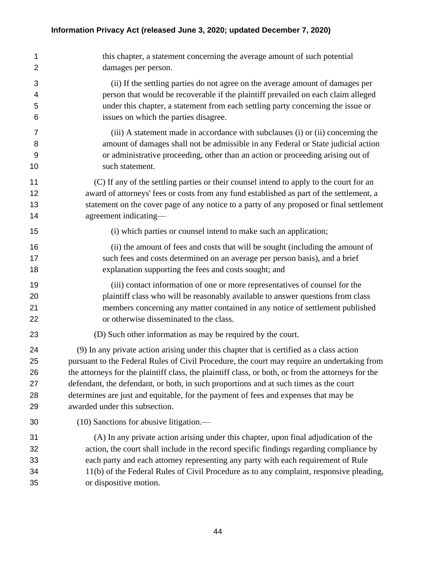this chapter, a statement concerning the average amount of such potential damages per person. (ii) If the settling parties do not agree on the average amount of damages per person that would be recoverable if the plaintiff prevailed on each claim alleged under this chapter, a statement from each settling party concerning the issue or issues on which the parties disagree. (iii) A statement made in accordance with subclauses (i) or (ii) concerning the amount of damages shall not be admissible in any Federal or State judicial action or administrative proceeding, other than an action or proceeding arising out of such statement. (C) If any of the settling parties or their counsel intend to apply to the court for an award of attorneys' fees or costs from any fund established as part of the settlement, a statement on the cover page of any notice to a party of any proposed or final settlement 14 agreement indicating— (i) which parties or counsel intend to make such an application; (ii) the amount of fees and costs that will be sought (including the amount of such fees and costs determined on an average per person basis), and a brief explanation supporting the fees and costs sought; and (iii) contact information of one or more representatives of counsel for the plaintiff class who will be reasonably available to answer questions from class members concerning any matter contained in any notice of settlement published or otherwise disseminated to the class. (D) Such other information as may be required by the court. (9) In any private action arising under this chapter that is certified as a class action pursuant to the Federal Rules of Civil Procedure, the court may require an undertaking from the attorneys for the plaintiff class, the plaintiff class, or both, or from the attorneys for the defendant, the defendant, or both, in such proportions and at such times as the court determines are just and equitable, for the payment of fees and expenses that may be awarded under this subsection. (10) Sanctions for abusive litigation.— (A) In any private action arising under this chapter, upon final adjudication of the action, the court shall include in the record specific findings regarding compliance by each party and each attorney representing any party with each requirement of Rule 11(b) of the Federal Rules of Civil Procedure as to any complaint, responsive pleading, or dispositive motion.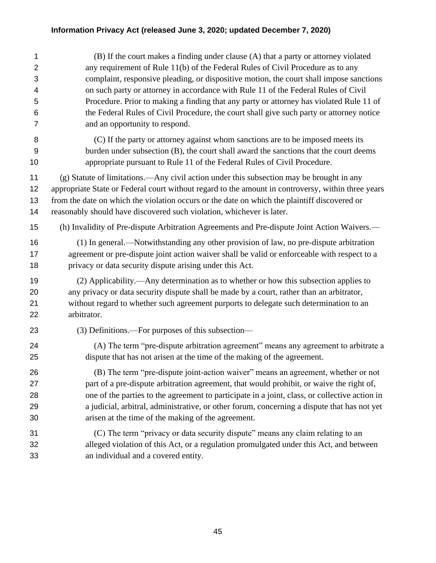| 1                   | (B) If the court makes a finding under clause (A) that a party or attorney violated                                                                                        |
|---------------------|----------------------------------------------------------------------------------------------------------------------------------------------------------------------------|
| $\overline{2}$<br>3 | any requirement of Rule 11(b) of the Federal Rules of Civil Procedure as to any<br>complaint, responsive pleading, or dispositive motion, the court shall impose sanctions |
| 4                   | on such party or attorney in accordance with Rule 11 of the Federal Rules of Civil                                                                                         |
| 5                   | Procedure. Prior to making a finding that any party or attorney has violated Rule 11 of                                                                                    |
| 6                   | the Federal Rules of Civil Procedure, the court shall give such party or attorney notice                                                                                   |
| 7                   | and an opportunity to respond.                                                                                                                                             |
| 8                   | (C) If the party or attorney against whom sanctions are to be imposed meets its                                                                                            |
| 9                   | burden under subsection (B), the court shall award the sanctions that the court deems                                                                                      |
| 10                  | appropriate pursuant to Rule 11 of the Federal Rules of Civil Procedure.                                                                                                   |
| 11                  | (g) Statute of limitations.—Any civil action under this subsection may be brought in any                                                                                   |
| 12                  | appropriate State or Federal court without regard to the amount in controversy, within three years                                                                         |
| 13                  | from the date on which the violation occurs or the date on which the plaintiff discovered or                                                                               |
| 14                  | reasonably should have discovered such violation, whichever is later.                                                                                                      |
| 15                  | (h) Invalidity of Pre-dispute Arbitration Agreements and Pre-dispute Joint Action Waivers.—                                                                                |
| 16                  | (1) In general.—Notwithstanding any other provision of law, no pre-dispute arbitration                                                                                     |
| 17                  | agreement or pre-dispute joint action waiver shall be valid or enforceable with respect to a                                                                               |
| 18                  | privacy or data security dispute arising under this Act.                                                                                                                   |
| 19                  | (2) Applicability.—Any determination as to whether or how this subsection applies to                                                                                       |
| 20                  | any privacy or data security dispute shall be made by a court, rather than an arbitrator,                                                                                  |
| 21                  | without regard to whether such agreement purports to delegate such determination to an                                                                                     |
| 22                  | arbitrator.                                                                                                                                                                |
| 23                  | (3) Definitions.—For purposes of this subsection—                                                                                                                          |
| 24                  | (A) The term "pre-dispute arbitration agreement" means any agreement to arbitrate a                                                                                        |
| 25                  | dispute that has not arisen at the time of the making of the agreement.                                                                                                    |
| 26                  | (B) The term "pre-dispute joint-action waiver" means an agreement, whether or not                                                                                          |
| 27                  | part of a pre-dispute arbitration agreement, that would prohibit, or waive the right of,                                                                                   |
| 28                  | one of the parties to the agreement to participate in a joint, class, or collective action in                                                                              |
| 29                  | a judicial, arbitral, administrative, or other forum, concerning a dispute that has not yet                                                                                |
| 30                  | arisen at the time of the making of the agreement.                                                                                                                         |
| 31                  | (C) The term "privacy or data security dispute" means any claim relating to an                                                                                             |
| 32                  | alleged violation of this Act, or a regulation promulgated under this Act, and between                                                                                     |
| 33                  | an individual and a covered entity.                                                                                                                                        |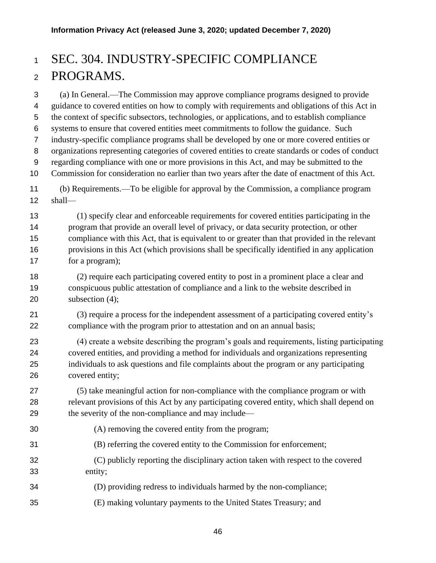# SEC. 304. INDUSTRY-SPECIFIC COMPLIANCE PROGRAMS.

 (a) In General.—The Commission may approve compliance programs designed to provide guidance to covered entities on how to comply with requirements and obligations of this Act in the context of specific subsectors, technologies, or applications, and to establish compliance systems to ensure that covered entities meet commitments to follow the guidance. Such industry-specific compliance programs shall be developed by one or more covered entities or organizations representing categories of covered entities to create standards or codes of conduct regarding compliance with one or more provisions in this Act, and may be submitted to the Commission for consideration no earlier than two years after the date of enactment of this Act. (b) Requirements.—To be eligible for approval by the Commission, a compliance program shall— (1) specify clear and enforceable requirements for covered entities participating in the program that provide an overall level of privacy, or data security protection, or other compliance with this Act, that is equivalent to or greater than that provided in the relevant provisions in this Act (which provisions shall be specifically identified in any application for a program); (2) require each participating covered entity to post in a prominent place a clear and conspicuous public attestation of compliance and a link to the website described in 20 subsection (4); (3) require a process for the independent assessment of a participating covered entity's compliance with the program prior to attestation and on an annual basis; (4) create a website describing the program's goals and requirements, listing participating covered entities, and providing a method for individuals and organizations representing individuals to ask questions and file complaints about the program or any participating covered entity; (5) take meaningful action for non-compliance with the compliance program or with relevant provisions of this Act by any participating covered entity, which shall depend on the severity of the non-compliance and may include— (A) removing the covered entity from the program; (B) referring the covered entity to the Commission for enforcement; (C) publicly reporting the disciplinary action taken with respect to the covered entity; (D) providing redress to individuals harmed by the non-compliance; (E) making voluntary payments to the United States Treasury; and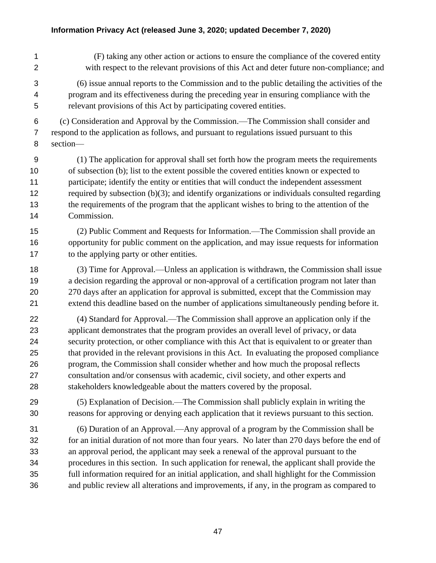(F) taking any other action or actions to ensure the compliance of the covered entity with respect to the relevant provisions of this Act and deter future non-compliance; and (6) issue annual reports to the Commission and to the public detailing the activities of the program and its effectiveness during the preceding year in ensuring compliance with the relevant provisions of this Act by participating covered entities. (c) Consideration and Approval by the Commission.—The Commission shall consider and respond to the application as follows, and pursuant to regulations issued pursuant to this section— (1) The application for approval shall set forth how the program meets the requirements of subsection (b); list to the extent possible the covered entities known or expected to participate; identify the entity or entities that will conduct the independent assessment required by subsection (b)(3); and identify organizations or individuals consulted regarding the requirements of the program that the applicant wishes to bring to the attention of the Commission. (2) Public Comment and Requests for Information.—The Commission shall provide an opportunity for public comment on the application, and may issue requests for information to the applying party or other entities. (3) Time for Approval.—Unless an application is withdrawn, the Commission shall issue a decision regarding the approval or non-approval of a certification program not later than 270 days after an application for approval is submitted, except that the Commission may extend this deadline based on the number of applications simultaneously pending before it. (4) Standard for Approval.—The Commission shall approve an application only if the applicant demonstrates that the program provides an overall level of privacy, or data security protection, or other compliance with this Act that is equivalent to or greater than that provided in the relevant provisions in this Act. In evaluating the proposed compliance program, the Commission shall consider whether and how much the proposal reflects consultation and/or consensus with academic, civil society, and other experts and stakeholders knowledgeable about the matters covered by the proposal. (5) Explanation of Decision.—The Commission shall publicly explain in writing the reasons for approving or denying each application that it reviews pursuant to this section. (6) Duration of an Approval.—Any approval of a program by the Commission shall be for an initial duration of not more than four years. No later than 270 days before the end of an approval period, the applicant may seek a renewal of the approval pursuant to the procedures in this section. In such application for renewal, the applicant shall provide the full information required for an initial application, and shall highlight for the Commission and public review all alterations and improvements, if any, in the program as compared to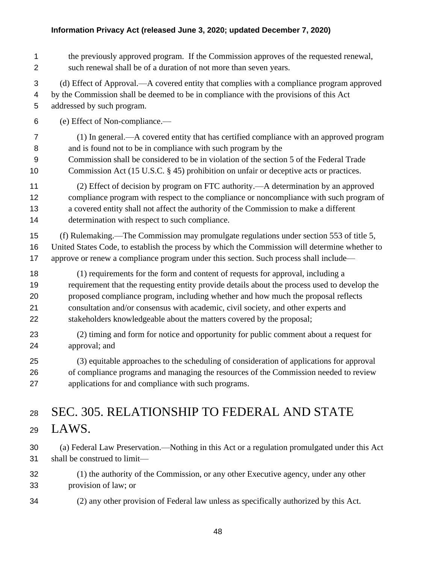| 1              | the previously approved program. If the Commission approves of the requested renewal,          |
|----------------|------------------------------------------------------------------------------------------------|
| $\mathbf 2$    | such renewal shall be of a duration of not more than seven years.                              |
| 3              | (d) Effect of Approval.—A covered entity that complies with a compliance program approved      |
| 4              | by the Commission shall be deemed to be in compliance with the provisions of this Act          |
| 5              | addressed by such program.                                                                     |
| $\,6$          | (e) Effect of Non-compliance.-                                                                 |
| $\overline{7}$ | (1) In general.—A covered entity that has certified compliance with an approved program        |
| 8              | and is found not to be in compliance with such program by the                                  |
| 9              | Commission shall be considered to be in violation of the section 5 of the Federal Trade        |
| 10             | Commission Act (15 U.S.C. § 45) prohibition on unfair or deceptive acts or practices.          |
| 11             | (2) Effect of decision by program on FTC authority.—A determination by an approved             |
| 12             | compliance program with respect to the compliance or noncompliance with such program of        |
| 13             | a covered entity shall not affect the authority of the Commission to make a different          |
| 14             | determination with respect to such compliance.                                                 |
| 15             | (f) Rulemaking.—The Commission may promulgate regulations under section 553 of title 5,        |
| 16             | United States Code, to establish the process by which the Commission will determine whether to |
| 17             | approve or renew a compliance program under this section. Such process shall include—          |
| 18             | (1) requirements for the form and content of requests for approval, including a                |
| 19             | requirement that the requesting entity provide details about the process used to develop the   |
| 20             | proposed compliance program, including whether and how much the proposal reflects              |
| 21             | consultation and/or consensus with academic, civil society, and other experts and              |
| 22             | stakeholders knowledgeable about the matters covered by the proposal;                          |
| 23             | (2) timing and form for notice and opportunity for public comment about a request for          |
| 24             | approval; and                                                                                  |
| 25             | (3) equitable approaches to the scheduling of consideration of applications for approval       |
| 26             | of compliance programs and managing the resources of the Commission needed to review           |
| 27             | applications for and compliance with such programs.                                            |
| 28             | SEC. 305. RELATIONSHIP TO FEDERAL AND STATE                                                    |
| 29             | LAWS.                                                                                          |
| 30             | (a) Federal Law Preservation.—Nothing in this Act or a regulation promulgated under this Act   |
| 31             | shall be construed to limit-                                                                   |

- (1) the authority of the Commission, or any other Executive agency, under any other provision of law; or
- (2) any other provision of Federal law unless as specifically authorized by this Act.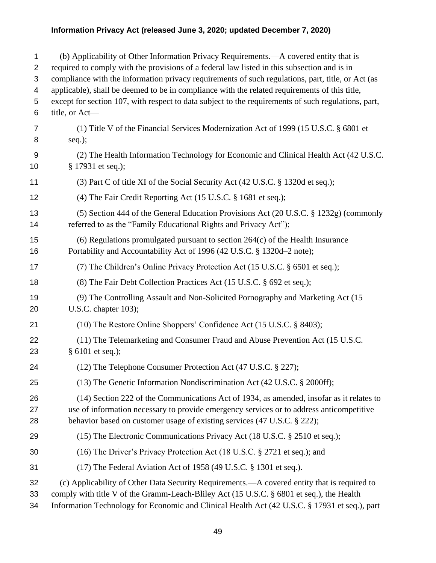| 1<br>2<br>3<br>4<br>5<br>6 | (b) Applicability of Other Information Privacy Requirements.—A covered entity that is<br>required to comply with the provisions of a federal law listed in this subsection and is in<br>compliance with the information privacy requirements of such regulations, part, title, or Act (as<br>applicable), shall be deemed to be in compliance with the related requirements of this title,<br>except for section 107, with respect to data subject to the requirements of such regulations, part,<br>title, or Act- |
|----------------------------|---------------------------------------------------------------------------------------------------------------------------------------------------------------------------------------------------------------------------------------------------------------------------------------------------------------------------------------------------------------------------------------------------------------------------------------------------------------------------------------------------------------------|
| 7<br>8                     | (1) Title V of the Financial Services Modernization Act of 1999 (15 U.S.C. § 6801 et<br>$seq.$ );                                                                                                                                                                                                                                                                                                                                                                                                                   |
| 9<br>10                    | (2) The Health Information Technology for Economic and Clinical Health Act (42 U.S.C.<br>§ 17931 et seq.);                                                                                                                                                                                                                                                                                                                                                                                                          |
| 11                         | (3) Part C of title XI of the Social Security Act (42 U.S.C. § 1320d et seq.);                                                                                                                                                                                                                                                                                                                                                                                                                                      |
| 12                         | (4) The Fair Credit Reporting Act (15 U.S.C. § 1681 et seq.);                                                                                                                                                                                                                                                                                                                                                                                                                                                       |
| 13<br>14                   | (5) Section 444 of the General Education Provisions Act (20 U.S.C. § 1232g) (commonly<br>referred to as the "Family Educational Rights and Privacy Act");                                                                                                                                                                                                                                                                                                                                                           |
| 15<br>16                   | $(6)$ Regulations promulgated pursuant to section 264 $(c)$ of the Health Insurance<br>Portability and Accountability Act of 1996 (42 U.S.C. § 1320d-2 note);                                                                                                                                                                                                                                                                                                                                                       |
| 17                         | (7) The Children's Online Privacy Protection Act (15 U.S.C. § 6501 et seq.);                                                                                                                                                                                                                                                                                                                                                                                                                                        |
| 18                         | (8) The Fair Debt Collection Practices Act (15 U.S.C. § 692 et seq.);                                                                                                                                                                                                                                                                                                                                                                                                                                               |
| 19<br>20                   | (9) The Controlling Assault and Non-Solicited Pornography and Marketing Act (15)<br>U.S.C. chapter $103$ );                                                                                                                                                                                                                                                                                                                                                                                                         |
| 21                         | (10) The Restore Online Shoppers' Confidence Act (15 U.S.C. § 8403);                                                                                                                                                                                                                                                                                                                                                                                                                                                |
| 22<br>23                   | (11) The Telemarketing and Consumer Fraud and Abuse Prevention Act (15 U.S.C.<br>§ 6101 et seq.);                                                                                                                                                                                                                                                                                                                                                                                                                   |
| 24                         | (12) The Telephone Consumer Protection Act (47 U.S.C. § 227);                                                                                                                                                                                                                                                                                                                                                                                                                                                       |
| 25                         | (13) The Genetic Information Nondiscrimination Act (42 U.S.C. § 2000ff);                                                                                                                                                                                                                                                                                                                                                                                                                                            |
| 26<br>27<br>28             | (14) Section 222 of the Communications Act of 1934, as amended, insofar as it relates to<br>use of information necessary to provide emergency services or to address anticompetitive<br>behavior based on customer usage of existing services (47 U.S.C. § 222);                                                                                                                                                                                                                                                    |
| 29                         | (15) The Electronic Communications Privacy Act (18 U.S.C. § 2510 et seq.);                                                                                                                                                                                                                                                                                                                                                                                                                                          |
| 30                         | (16) The Driver's Privacy Protection Act (18 U.S.C. § 2721 et seq.); and                                                                                                                                                                                                                                                                                                                                                                                                                                            |
| 31                         | $(17)$ The Federal Aviation Act of 1958 (49 U.S.C. § 1301 et seq.).                                                                                                                                                                                                                                                                                                                                                                                                                                                 |
| 32<br>33<br>34             | (c) Applicability of Other Data Security Requirements.—A covered entity that is required to<br>comply with title V of the Gramm-Leach-Bliley Act (15 U.S.C. § 6801 et seq.), the Health<br>Information Technology for Economic and Clinical Health Act (42 U.S.C. § 17931 et seq.), part                                                                                                                                                                                                                            |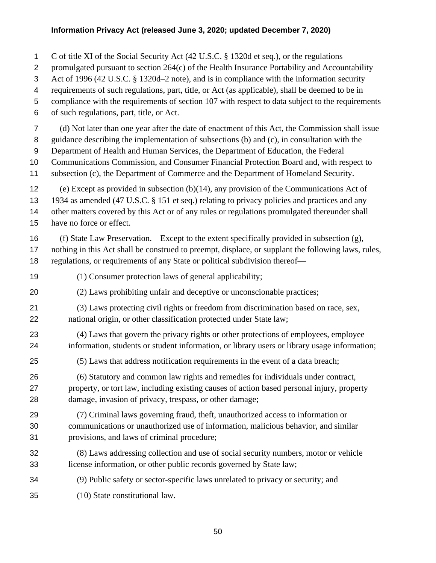| 1              | C of title XI of the Social Security Act (42 U.S.C. § 1320d et seq.), or the regulations            |
|----------------|-----------------------------------------------------------------------------------------------------|
| $\overline{2}$ | promulgated pursuant to section 264(c) of the Health Insurance Portability and Accountability       |
| 3              | Act of 1996 (42 U.S.C. § 1320d-2 note), and is in compliance with the information security          |
| 4              | requirements of such regulations, part, title, or Act (as applicable), shall be deemed to be in     |
| 5              | compliance with the requirements of section 107 with respect to data subject to the requirements    |
| 6              | of such regulations, part, title, or Act.                                                           |
| $\overline{7}$ | (d) Not later than one year after the date of enactment of this Act, the Commission shall issue     |
| 8              | guidance describing the implementation of subsections (b) and (c), in consultation with the         |
| 9              | Department of Health and Human Services, the Department of Education, the Federal                   |
| 10             | Communications Commission, and Consumer Financial Protection Board and, with respect to             |
| 11             | subsection (c), the Department of Commerce and the Department of Homeland Security.                 |
| 12             | (e) Except as provided in subsection $(b)(14)$ , any provision of the Communications Act of         |
| 13             | 1934 as amended (47 U.S.C. § 151 et seq.) relating to privacy policies and practices and any        |
| 14             | other matters covered by this Act or of any rules or regulations promulgated thereunder shall       |
| 15             | have no force or effect.                                                                            |
| 16             | (f) State Law Preservation.—Except to the extent specifically provided in subsection (g),           |
| 17             | nothing in this Act shall be construed to preempt, displace, or supplant the following laws, rules, |
| 18             | regulations, or requirements of any State or political subdivision thereof-                         |
| 19             | (1) Consumer protection laws of general applicability;                                              |
| 20             | (2) Laws prohibiting unfair and deceptive or unconscionable practices;                              |
| 21             | (3) Laws protecting civil rights or freedom from discrimination based on race, sex,                 |
| 22             | national origin, or other classification protected under State law;                                 |
| 23             | (4) Laws that govern the privacy rights or other protections of employees, employee                 |
| 24             | information, students or student information, or library users or library usage information;        |
| 25             | (5) Laws that address notification requirements in the event of a data breach;                      |
| 26             | (6) Statutory and common law rights and remedies for individuals under contract,                    |
| 27             | property, or tort law, including existing causes of action based personal injury, property          |
| 28             | damage, invasion of privacy, trespass, or other damage;                                             |
| 29             | (7) Criminal laws governing fraud, theft, unauthorized access to information or                     |
| 30             | communications or unauthorized use of information, malicious behavior, and similar                  |
| 31             | provisions, and laws of criminal procedure;                                                         |
| 32             | (8) Laws addressing collection and use of social security numbers, motor or vehicle                 |
| 33             | license information, or other public records governed by State law;                                 |
| 34             | (9) Public safety or sector-specific laws unrelated to privacy or security; and                     |
| 35             | (10) State constitutional law.                                                                      |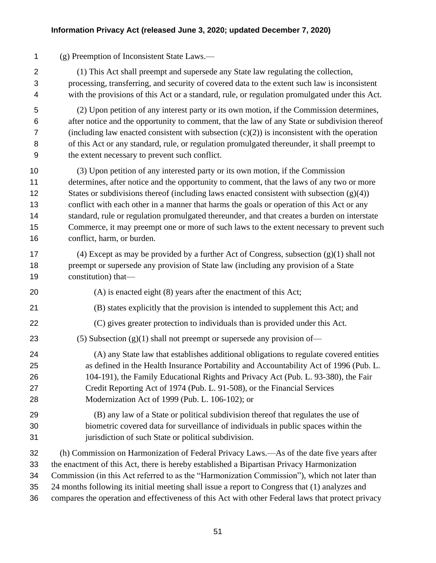(g) Preemption of Inconsistent State Laws.—

 (1) This Act shall preempt and supersede any State law regulating the collection, processing, transferring, and security of covered data to the extent such law is inconsistent with the provisions of this Act or a standard, rule, or regulation promulgated under this Act.

 (2) Upon petition of any interest party or its own motion, if the Commission determines, after notice and the opportunity to comment, that the law of any State or subdivision thereof 7 (including law enacted consistent with subsection  $(c)(2)$ ) is inconsistent with the operation of this Act or any standard, rule, or regulation promulgated thereunder, it shall preempt to the extent necessary to prevent such conflict.

 (3) Upon petition of any interested party or its own motion, if the Commission determines, after notice and the opportunity to comment, that the laws of any two or more 12 States or subdivisions thereof (including laws enacted consistent with subsection  $(g)(4)$ ) conflict with each other in a manner that harms the goals or operation of this Act or any standard, rule or regulation promulgated thereunder, and that creates a burden on interstate Commerce, it may preempt one or more of such laws to the extent necessary to prevent such conflict, harm, or burden.

- (4) Except as may be provided by a further Act of Congress, subsection (g)(1) shall not 18 preempt or supersede any provision of State law (including any provision of a State constitution) that—
- (A) is enacted eight (8) years after the enactment of this Act;
- (B) states explicitly that the provision is intended to supplement this Act; and
- (C) gives greater protection to individuals than is provided under this Act.

23 (5) Subsection (g)(1) shall not preempt or supersede any provision of—

- (A) any State law that establishes additional obligations to regulate covered entities as defined in the Health Insurance Portability and Accountability Act of 1996 (Pub. L. 104-191), the Family Educational Rights and Privacy Act (Pub. L. 93-380), the Fair Credit Reporting Act of 1974 (Pub. L. 91-508), or the Financial Services Modernization Act of 1999 (Pub. L. 106-102); or
- (B) any law of a State or political subdivision thereof that regulates the use of biometric covered data for surveillance of individuals in public spaces within the jurisdiction of such State or political subdivision.

(h) Commission on Harmonization of Federal Privacy Laws.—As of the date five years after

the enactment of this Act, there is hereby established a Bipartisan Privacy Harmonization

Commission (in this Act referred to as the "Harmonization Commission"), which not later than

24 months following its initial meeting shall issue a report to Congress that (1) analyzes and

compares the operation and effectiveness of this Act with other Federal laws that protect privacy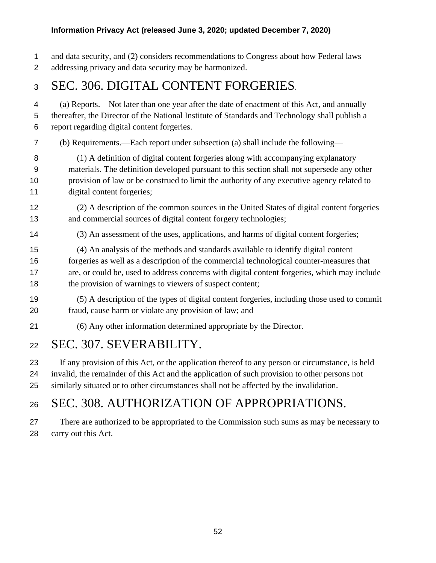and data security, and (2) considers recommendations to Congress about how Federal laws addressing privacy and data security may be harmonized.

# SEC. 306. DIGITAL CONTENT FORGERIES.

 (a) Reports.—Not later than one year after the date of enactment of this Act, and annually thereafter, the Director of the National Institute of Standards and Technology shall publish a report regarding digital content forgeries.

- (b) Requirements.—Each report under subsection (a) shall include the following—
- (1) A definition of digital content forgeries along with accompanying explanatory materials. The definition developed pursuant to this section shall not supersede any other provision of law or be construed to limit the authority of any executive agency related to digital content forgeries;
- (2) A description of the common sources in the United States of digital content forgeries and commercial sources of digital content forgery technologies;
- (3) An assessment of the uses, applications, and harms of digital content forgeries;

 (4) An analysis of the methods and standards available to identify digital content forgeries as well as a description of the commercial technological counter-measures that are, or could be, used to address concerns with digital content forgeries, which may include

- the provision of warnings to viewers of suspect content;
- (5) A description of the types of digital content forgeries, including those used to commit fraud, cause harm or violate any provision of law; and
- (6) Any other information determined appropriate by the Director.

### SEC. 307. SEVERABILITY.

 If any provision of this Act, or the application thereof to any person or circumstance, is held invalid, the remainder of this Act and the application of such provision to other persons not similarly situated or to other circumstances shall not be affected by the invalidation.

# SEC. 308. AUTHORIZATION OF APPROPRIATIONS.

 There are authorized to be appropriated to the Commission such sums as may be necessary to carry out this Act.